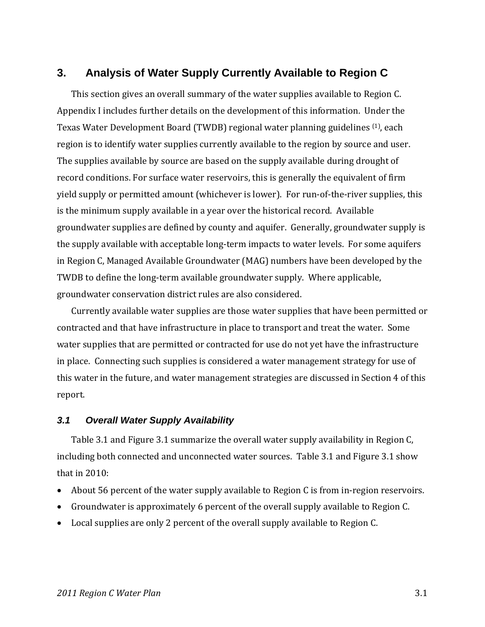# **3. Analysis of Water Supply Currently Available to Region C**

This section gives an overall summary of the water supplies available to Region C. Appendix I includes further details on the development of this information. Under the Texas Water Development Board (TWDB) regional water planning guidelines (1), each region is to identify water supplies currently available to the region by source and user. The supplies available by source are based on the supply available during drought of record conditions. For surface water reservoirs, this is generally the equivalent of firm yield supply or permitted amount (whichever is lower). For run‐of‐the‐river supplies, this is the minimum supply available in a year over the historical record. Available groundwater supplies are defined by county and aquifer. Generally, groundwater supply is the supply available with acceptable long‐term impacts to water levels. For some aquifers in Region C, Managed Available Groundwater (MAG) numbers have been developed by the TWDB to define the long‐term available groundwater supply. Where applicable, groundwater conservation district rules are also considered.

Currently available water supplies are those water supplies that have been permitted or contracted and that have infrastructure in place to transport and treat the water. Some water supplies that are permitted or contracted for use do not yet have the infrastructure in place. Connecting such supplies is considered a water management strategy for use of this water in the future, and water management strategies are discussed in Section 4 of this report.

#### *3.1 Overall Water Supply Availability*

Table 3.1 and Figure 3.1 summarize the overall water supply availability in Region C, including both connected and unconnected water sources. Table 3.1 and Figure 3.1 show that in 2010:

- About 56 percent of the water supply available to Region C is from in‐region reservoirs.
- Groundwater is approximately 6 percent of the overall supply available to Region C.
- Local supplies are only 2 percent of the overall supply available to Region C.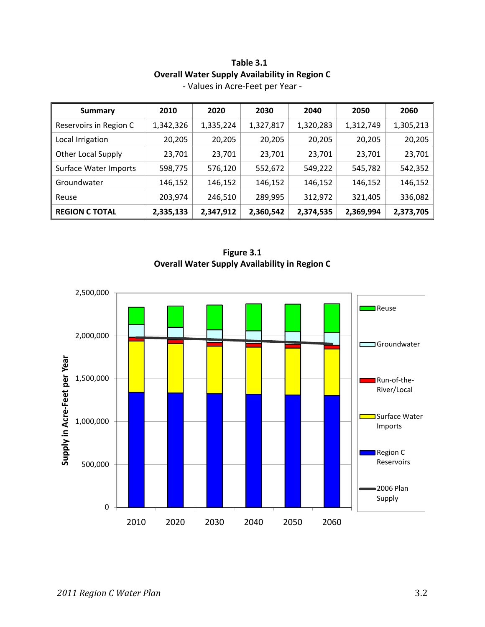| <b>Summary</b>            | 2010      | 2020      | 2030      | 2040      | 2050      | 2060      |
|---------------------------|-----------|-----------|-----------|-----------|-----------|-----------|
| Reservoirs in Region C    | 1,342,326 | 1,335,224 | 1,327,817 | 1,320,283 | 1,312,749 | 1,305,213 |
| Local Irrigation          | 20,205    | 20,205    | 20,205    | 20,205    | 20,205    | 20,205    |
| <b>Other Local Supply</b> | 23,701    | 23,701    | 23,701    | 23,701    | 23,701    | 23,701    |
| Surface Water Imports     | 598,775   | 576,120   | 552,672   | 549,222   | 545,782   | 542,352   |
| Groundwater               | 146,152   | 146,152   | 146,152   | 146,152   | 146,152   | 146,152   |
| Reuse                     | 203,974   | 246,510   | 289,995   | 312,972   | 321,405   | 336,082   |
| <b>REGION C TOTAL</b>     | 2,335,133 | 2,347,912 | 2,360,542 | 2,374,535 | 2,369,994 | 2,373,705 |

### **Table 3.1 Overall Water Supply Availability in Region C** ‐ Values in Acre‐Feet per Year ‐



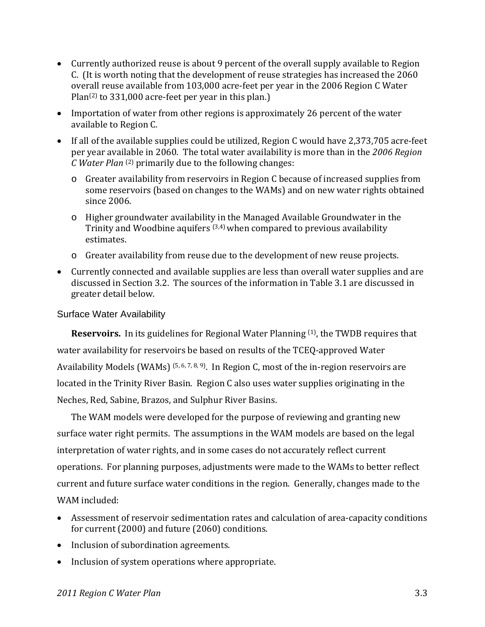- Currently authorized reuse is about 9 percent of the overall supply available to Region C. (It is worth noting that the development of reuse strategies has increased the 2060 overall reuse available from 103,000 acre‐feet per year in the 2006 Region C Water Plan(2) to 331,000 acre‐feet per year in this plan.)
- Importation of water from other regions is approximately 26 percent of the water available to Region C.
- If all of the available supplies could be utilized, Region C would have 2,373,705 acre‐feet per year available in 2060. The total water availability is more than in the *2006 Region C Water Plan* (2) primarily due to the following changes:
	- o Greater availability from reservoirs in Region C because of increased supplies from some reservoirs (based on changes to the WAMs) and on new water rights obtained since 2006.
	- o Higher groundwater availability in the Managed Available Groundwater in the Trinity and Woodbine aquifers (3,4) when compared to previous availability estimates.
	- o Greater availability from reuse due to the development of new reuse projects.
- Currently connected and available supplies are less than overall water supplies and are discussed in Section 3.2. The sources of the information in Table 3.1 are discussed in greater detail below.

### Surface Water Availability

**Reservoirs.** In its guidelines for Regional Water Planning <sup>(1)</sup>, the TWDB requires that water availability for reservoirs be based on results of the TCEQ-approved Water Availability Models (WAMs)  $(5, 6, 7, 8, 9)$ . In Region C, most of the in-region reservoirs are located in the Trinity River Basin. Region C also uses water supplies originating in the Neches, Red, Sabine, Brazos, and Sulphur River Basins.

The WAM models were developed for the purpose of reviewing and granting new surface water right permits. The assumptions in the WAM models are based on the legal interpretation of water rights, and in some cases do not accurately reflect current operations. For planning purposes, adjustments were made to the WAMs to better reflect current and future surface water conditions in the region. Generally, changes made to the WAM included:

- Assessment of reservoir sedimentation rates and calculation of area‐capacity conditions for current (2000) and future (2060) conditions.
- Inclusion of subordination agreements.
- Inclusion of system operations where appropriate.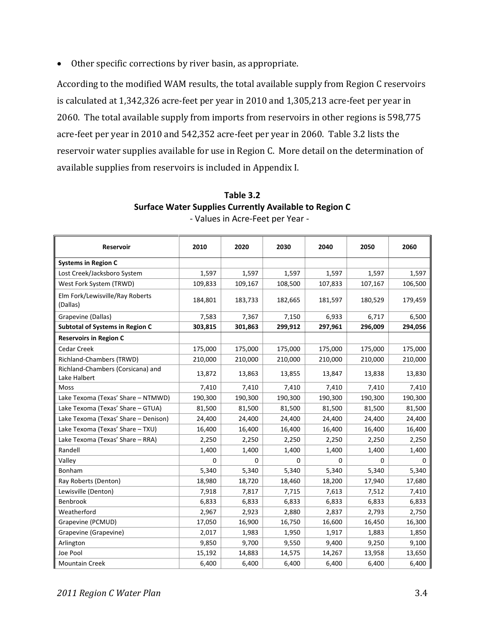Other specific corrections by river basin, as appropriate.

According to the modified WAM results, the total available supply from Region C reservoirs is calculated at 1,342,326 acre‐feet per year in 2010 and 1,305,213 acre‐feet per year in 2060. The total available supply from imports from reservoirs in other regions is 598,775 acre‐feet per year in 2010 and 542,352 acre‐feet per year in 2060. Table 3.2 lists the reservoir water supplies available for use in Region C. More detail on the determination of available supplies from reservoirs is included in Appendix I.

| Reservoir                                         | 2010    | 2020    | 2030        | 2040    | 2050    | 2060    |
|---------------------------------------------------|---------|---------|-------------|---------|---------|---------|
|                                                   |         |         |             |         |         |         |
| <b>Systems in Region C</b>                        |         |         |             |         |         |         |
| Lost Creek/Jacksboro System                       | 1,597   | 1,597   | 1,597       | 1,597   | 1,597   | 1,597   |
| West Fork System (TRWD)                           | 109,833 | 109,167 | 108,500     | 107,833 | 107,167 | 106,500 |
| Elm Fork/Lewisville/Ray Roberts<br>(Dallas)       | 184,801 | 183,733 | 182,665     | 181,597 | 180,529 | 179,459 |
| Grapevine (Dallas)                                | 7,583   | 7,367   | 7,150       | 6,933   | 6,717   | 6,500   |
| <b>Subtotal of Systems in Region C</b>            | 303,815 | 301,863 | 299,912     | 297,961 | 296,009 | 294,056 |
| <b>Reservoirs in Region C</b>                     |         |         |             |         |         |         |
| <b>Cedar Creek</b>                                | 175,000 | 175,000 | 175,000     | 175,000 | 175,000 | 175,000 |
| Richland-Chambers (TRWD)                          | 210,000 | 210,000 | 210,000     | 210,000 | 210,000 | 210,000 |
| Richland-Chambers (Corsicana) and<br>Lake Halbert | 13,872  | 13,863  | 13,855      | 13,847  | 13,838  | 13,830  |
| Moss                                              | 7,410   | 7,410   | 7,410       | 7,410   | 7,410   | 7,410   |
| Lake Texoma (Texas' Share - NTMWD)                | 190,300 | 190,300 | 190,300     | 190,300 | 190,300 | 190,300 |
| Lake Texoma (Texas' Share - GTUA)                 | 81,500  | 81,500  | 81,500      | 81,500  | 81,500  | 81,500  |
| Lake Texoma (Texas' Share - Denison)              | 24,400  | 24,400  | 24,400      | 24,400  | 24,400  | 24,400  |
| Lake Texoma (Texas' Share - TXU)                  | 16,400  | 16,400  | 16,400      | 16,400  | 16,400  | 16,400  |
| Lake Texoma (Texas' Share - RRA)                  | 2,250   | 2,250   | 2,250       | 2,250   | 2,250   | 2,250   |
| Randell                                           | 1,400   | 1,400   | 1,400       | 1,400   | 1,400   | 1,400   |
| Valley                                            | 0       | 0       | $\mathbf 0$ | 0       | 0       | 0       |
| Bonham                                            | 5,340   | 5,340   | 5,340       | 5,340   | 5,340   | 5,340   |
| Ray Roberts (Denton)                              | 18,980  | 18,720  | 18,460      | 18,200  | 17,940  | 17,680  |
| Lewisville (Denton)                               | 7,918   | 7,817   | 7,715       | 7,613   | 7,512   | 7,410   |
| Benbrook                                          | 6,833   | 6,833   | 6,833       | 6,833   | 6,833   | 6,833   |
| Weatherford                                       | 2,967   | 2,923   | 2,880       | 2,837   | 2,793   | 2,750   |
| Grapevine (PCMUD)                                 | 17,050  | 16,900  | 16,750      | 16,600  | 16,450  | 16,300  |
| Grapevine (Grapevine)                             | 2,017   | 1,983   | 1,950       | 1,917   | 1,883   | 1,850   |
| Arlington                                         | 9,850   | 9,700   | 9,550       | 9,400   | 9,250   | 9,100   |
| Joe Pool                                          | 15,192  | 14,883  | 14,575      | 14,267  | 13,958  | 13,650  |
| <b>Mountain Creek</b>                             | 6,400   | 6,400   | 6,400       | 6,400   | 6,400   | 6,400   |

**Table 3.2 Surface Water Supplies Currently Available to Region C** ‐ Values in Acre‐Feet per Year ‐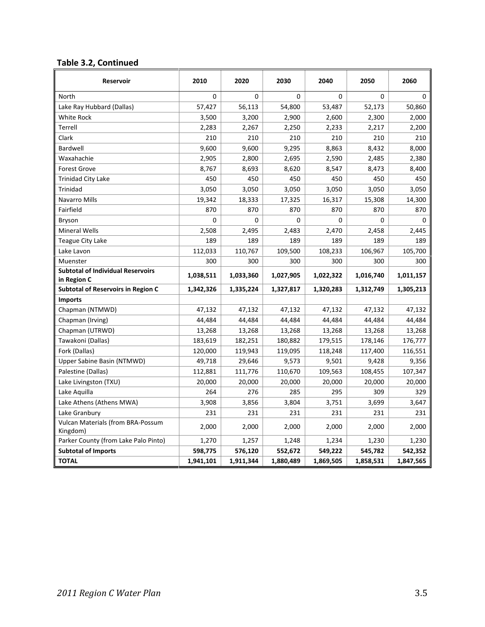### **Table 3.2, Continued**

| Reservoir                                               | 2010      | 2020      | 2030      | 2040      | 2050         | 2060        |
|---------------------------------------------------------|-----------|-----------|-----------|-----------|--------------|-------------|
| North                                                   | 0         | 0         | $\Omega$  | 0         | $\mathbf{0}$ | $\mathbf 0$ |
| Lake Ray Hubbard (Dallas)                               | 57,427    | 56,113    | 54,800    | 53,487    | 52,173       | 50,860      |
| White Rock                                              | 3,500     | 3,200     | 2,900     | 2,600     | 2,300        | 2,000       |
| Terrell                                                 | 2,283     | 2,267     | 2,250     | 2,233     | 2,217        | 2,200       |
| Clark                                                   | 210       | 210       | 210       | 210       | 210          | 210         |
| Bardwell                                                | 9,600     | 9,600     | 9,295     | 8,863     | 8,432        | 8,000       |
| Waxahachie                                              | 2,905     | 2,800     | 2,695     | 2,590     | 2,485        | 2,380       |
| <b>Forest Grove</b>                                     | 8,767     | 8,693     | 8,620     | 8,547     | 8,473        | 8,400       |
| <b>Trinidad City Lake</b>                               | 450       | 450       | 450       | 450       | 450          | 450         |
| Trinidad                                                | 3,050     | 3,050     | 3,050     | 3,050     | 3,050        | 3,050       |
| <b>Navarro Mills</b>                                    | 19,342    | 18,333    | 17,325    | 16,317    | 15,308       | 14,300      |
| Fairfield                                               | 870       | 870       | 870       | 870       | 870          | 870         |
| <b>Bryson</b>                                           | 0         | 0         | $\Omega$  | 0         | 0            | $\Omega$    |
| <b>Mineral Wells</b>                                    | 2,508     | 2,495     | 2,483     | 2,470     | 2,458        | 2,445       |
| Teague City Lake                                        | 189       | 189       | 189       | 189       | 189          | 189         |
| Lake Lavon                                              | 112,033   | 110,767   | 109,500   | 108,233   | 106,967      | 105,700     |
| Muenster                                                | 300       | 300       | 300       | 300       | 300          | 300         |
| <b>Subtotal of Individual Reservoirs</b><br>in Region C | 1,038,511 | 1,033,360 | 1,027,905 | 1,022,322 | 1,016,740    | 1,011,157   |
| <b>Subtotal of Reservoirs in Region C</b>               | 1,342,326 | 1,335,224 | 1,327,817 | 1,320,283 | 1,312,749    | 1,305,213   |
| <b>Imports</b>                                          |           |           |           |           |              |             |
| Chapman (NTMWD)                                         | 47,132    | 47,132    | 47,132    | 47,132    | 47,132       | 47,132      |
| Chapman (Irving)                                        | 44,484    | 44,484    | 44,484    | 44,484    | 44,484       | 44,484      |
| Chapman (UTRWD)                                         | 13,268    | 13,268    | 13,268    | 13,268    | 13,268       | 13,268      |
| Tawakoni (Dallas)                                       | 183,619   | 182,251   | 180,882   | 179,515   | 178,146      | 176,777     |
| Fork (Dallas)                                           | 120,000   | 119,943   | 119,095   | 118,248   | 117,400      | 116,551     |
| Upper Sabine Basin (NTMWD)                              | 49,718    | 29,646    | 9,573     | 9,501     | 9,428        | 9,356       |
| Palestine (Dallas)                                      | 112,881   | 111,776   | 110,670   | 109,563   | 108,455      | 107,347     |
| Lake Livingston (TXU)                                   | 20,000    | 20,000    | 20,000    | 20,000    | 20,000       | 20,000      |
| Lake Aquilla                                            | 264       | 276       | 285       | 295       | 309          | 329         |
| Lake Athens (Athens MWA)                                | 3,908     | 3,856     | 3,804     | 3,751     | 3,699        | 3,647       |
| Lake Granbury                                           | 231       | 231       | 231       | 231       | 231          | 231         |
| <b>Vulcan Materials (from BRA-Possum</b><br>Kingdom)    | 2,000     | 2,000     | 2,000     | 2,000     | 2,000        | 2,000       |
| Parker County (from Lake Palo Pinto)                    | 1,270     | 1,257     | 1,248     | 1,234     | 1,230        | 1,230       |
| <b>Subtotal of Imports</b>                              | 598,775   | 576,120   | 552,672   | 549,222   | 545,782      | 542,352     |
| <b>TOTAL</b>                                            | 1,941,101 | 1,911,344 | 1,880,489 | 1,869,505 | 1,858,531    | 1,847,565   |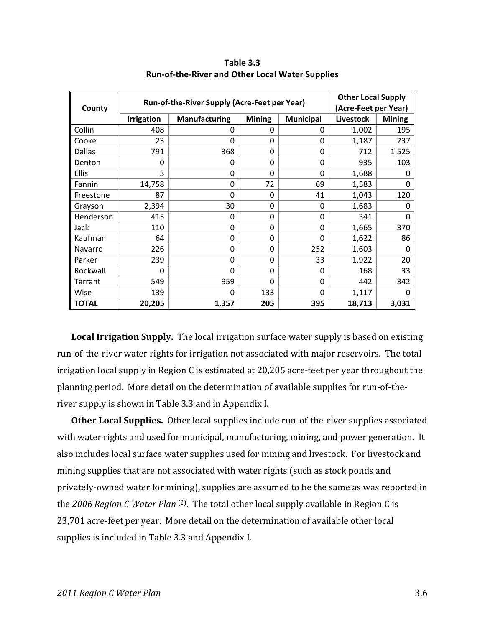|              |                   | <b>Other Local Supply</b>                    |               |                  |                      |               |  |
|--------------|-------------------|----------------------------------------------|---------------|------------------|----------------------|---------------|--|
| County       |                   | Run-of-the-River Supply (Acre-Feet per Year) |               |                  | (Acre-Feet per Year) |               |  |
|              | <b>Irrigation</b> | <b>Manufacturing</b>                         | <b>Mining</b> | <b>Municipal</b> | <b>Livestock</b>     | <b>Mining</b> |  |
| Collin       | 408               | 0                                            | 0             | 0                | 1,002                | 195           |  |
| Cooke        | 23                | $\Omega$                                     | $\Omega$      | $\Omega$         | 1,187                | 237           |  |
| Dallas       | 791               | 368                                          | 0             | 0                | 712                  | 1,525         |  |
| Denton       | 0                 | $\Omega$                                     | 0             | $\Omega$         | 935                  | 103           |  |
| <b>Ellis</b> | 3                 | 0                                            | $\Omega$      | $\Omega$         | 1,688                | 0             |  |
| Fannin       | 14,758            | 0                                            | 72            | 69               | 1,583                | 0             |  |
| Freestone    | 87                | 0                                            | 0             | 41               | 1,043                | 120           |  |
| Grayson      | 2,394             | 30                                           | 0             | $\Omega$         | 1,683                | 0             |  |
| Henderson    | 415               | $\Omega$                                     | 0             | $\Omega$         | 341                  | $\Omega$      |  |
| Jack         | 110               | $\Omega$                                     | 0             | $\Omega$         | 1,665                | 370           |  |
| Kaufman      | 64                | $\Omega$                                     | $\Omega$      | $\Omega$         | 1,622                | 86            |  |
| Navarro      | 226               | 0                                            | $\Omega$      | 252              | 1,603                | 0             |  |
| Parker       | 239               | $\Omega$                                     | $\Omega$      | 33               | 1,922                | 20            |  |
| Rockwall     | 0                 | 0                                            | 0             | 0                | 168                  | 33            |  |
| Tarrant      | 549               | 959                                          | $\Omega$      | $\Omega$         | 442                  | 342           |  |
| Wise         | 139               | $\Omega$                                     | 133           | $\Omega$         | 1,117                | $\Omega$      |  |
| <b>TOTAL</b> | 20,205            | 1,357                                        | 205           | 395              | 18,713               | 3,031         |  |

**Table 3.3 Run‐of‐the‐River and Other Local Water Supplies**

**Local Irrigation Supply.** The local irrigation surface water supply is based on existing run-of-the-river water rights for irrigation not associated with major reservoirs. The total irrigation local supply in Region C is estimated at 20,205 acre‐feet per year throughout the planning period. More detail on the determination of available supplies for run‐of‐the‐ river supply is shown in Table 3.3 and in Appendix I.

**Other Local Supplies.** Other local supplies include run‐of‐the‐river supplies associated with water rights and used for municipal, manufacturing, mining, and power generation. It also includes local surface water supplies used for mining and livestock. For livestock and mining supplies that are not associated with water rights (such as stock ponds and privately‐owned water for mining), supplies are assumed to be the same as was reported in the *2006 Region C Water Plan* (2). The total other local supply available in Region C is 23,701 acre‐feet per year. More detail on the determination of available other local supplies is included in Table 3.3 and Appendix I.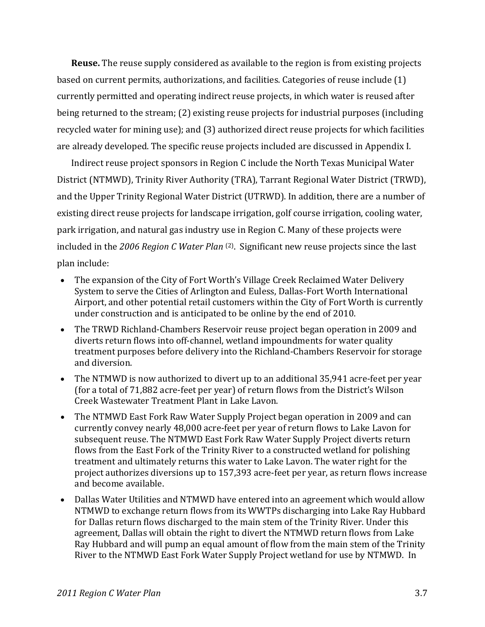**Reuse.** The reuse supply considered as available to the region is from existing projects based on current permits, authorizations, and facilities. Categories of reuse include (1) currently permitted and operating indirect reuse projects, in which water is reused after being returned to the stream; (2) existing reuse projects for industrial purposes (including recycled water for mining use); and (3) authorized direct reuse projects for which facilities are already developed. The specific reuse projects included are discussed in Appendix I.

Indirect reuse project sponsors in Region C include the North Texas Municipal Water District (NTMWD), Trinity River Authority (TRA), Tarrant Regional Water District (TRWD), and the Upper Trinity Regional Water District (UTRWD). In addition, there are a number of existing direct reuse projects for landscape irrigation, golf course irrigation, cooling water, park irrigation, and natural gas industry use in Region C. Many of these projects were included in the *2006 Region C Water Plan* (2). Significant new reuse projects since the last plan include:

- The expansion of the City of Fort Worth's Village Creek Reclaimed Water Delivery System to serve the Cities of Arlington and Euless, Dallas‐Fort Worth International Airport, and other potential retail customers within the City of Fort Worth is currently under construction and is anticipated to be online by the end of 2010.
- The TRWD Richland-Chambers Reservoir reuse project began operation in 2009 and diverts return flows into off‐channel, wetland impoundments for water quality treatment purposes before delivery into the Richland‐Chambers Reservoir for storage and diversion.
- The NTMWD is now authorized to divert up to an additional 35,941 acre‐feet per year (for a total of 71,882 acre‐feet per year) of return flows from the District's Wilson Creek Wastewater Treatment Plant in Lake Lavon.
- The NTMWD East Fork Raw Water Supply Project began operation in 2009 and can currently convey nearly 48,000 acre‐feet per year of return flows to Lake Lavon for subsequent reuse. The NTMWD East Fork Raw Water Supply Project diverts return flows from the East Fork of the Trinity River to a constructed wetland for polishing treatment and ultimately returns this water to Lake Lavon. The water right for the project authorizes diversions up to 157,393 acre‐feet per year, as return flows increase and become available.
- Dallas Water Utilities and NTMWD have entered into an agreement which would allow NTMWD to exchange return flows from its WWTPs discharging into Lake Ray Hubbard for Dallas return flows discharged to the main stem of the Trinity River. Under this agreement, Dallas will obtain the right to divert the NTMWD return flows from Lake Ray Hubbard and will pump an equal amount of flow from the main stem of the Trinity River to the NTMWD East Fork Water Supply Project wetland for use by NTMWD. In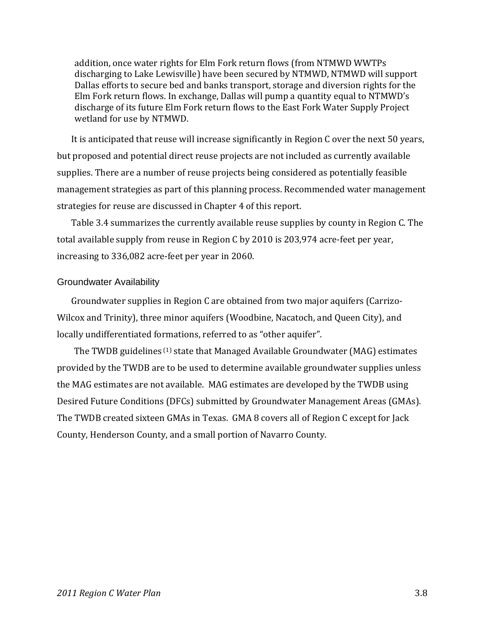addition, once water rights for Elm Fork return flows (from NTMWD WWTPs discharging to Lake Lewisville) have been secured by NTMWD, NTMWD will support Dallas efforts to secure bed and banks transport, storage and diversion rights for the Elm Fork return flows. In exchange, Dallas will pump a quantity equal to NTMWD's discharge of its future Elm Fork return flows to the East Fork Water Supply Project wetland for use by NTMWD.

It is anticipated that reuse will increase significantly in Region C over the next 50 years, but proposed and potential direct reuse projects are not included as currently available supplies. There are a number of reuse projects being considered as potentially feasible management strategies as part of this planning process. Recommended water management strategies for reuse are discussed in Chapter 4 of this report.

Table 3.4 summarizes the currently available reuse supplies by county in Region C. The total available supply from reuse in Region C by 2010 is 203,974 acre‐feet per year, increasing to 336,082 acre‐feet per year in 2060.

#### Groundwater Availability

Groundwater supplies in Region C are obtained from two major aquifers (Carrizo‐ Wilcox and Trinity), three minor aquifers (Woodbine, Nacatoch, and Queen City), and locally undifferentiated formations, referred to as "other aquifer".

The TWDB guidelines <sup>(1)</sup> state that Managed Available Groundwater (MAG) estimates provided by the TWDB are to be used to determine available groundwater supplies unless the MAG estimates are not available. MAG estimates are developed by the TWDB using Desired Future Conditions (DFCs) submitted by Groundwater Management Areas (GMAs). The TWDB created sixteen GMAs in Texas. GMA 8 covers all of Region C except for Jack County, Henderson County, and a small portion of Navarro County.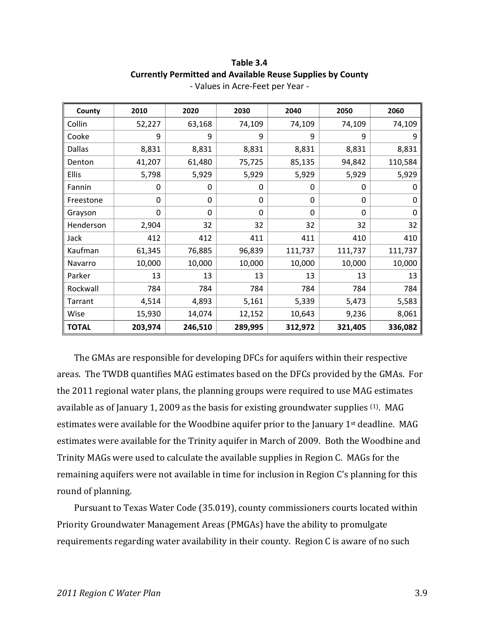#### **Table 3.4 Currently Permitted and Available Reuse Supplies by County** ‐ Values in Acre‐Feet per Year ‐

| County        | 2010    | 2020    | 2030    | 2040    | 2050    | 2060    |
|---------------|---------|---------|---------|---------|---------|---------|
| Collin        | 52,227  | 63,168  | 74,109  | 74,109  | 74,109  | 74,109  |
| Cooke         | 9       | 9       | 9       | 9       | 9       | 9       |
| <b>Dallas</b> | 8,831   | 8,831   | 8,831   | 8,831   | 8,831   | 8,831   |
| Denton        | 41,207  | 61,480  | 75,725  | 85,135  | 94,842  | 110,584 |
| <b>Ellis</b>  | 5,798   | 5,929   | 5,929   | 5,929   | 5,929   | 5,929   |
| Fannin        | 0       | 0       | 0       | 0       | 0       | 0       |
| Freestone     | 0       | 0       | 0       | 0       | 0       | 0       |
| Grayson       | 0       | 0       | 0       | 0       | 0       | 0       |
| Henderson     | 2,904   | 32      | 32      | 32      | 32      | 32      |
| Jack          | 412     | 412     | 411     | 411     | 410     | 410     |
| Kaufman       | 61,345  | 76,885  | 96,839  | 111,737 | 111,737 | 111,737 |
| Navarro       | 10,000  | 10,000  | 10,000  | 10,000  | 10,000  | 10,000  |
| Parker        | 13      | 13      | 13      | 13      | 13      | 13      |
| Rockwall      | 784     | 784     | 784     | 784     | 784     | 784     |
| Tarrant       | 4,514   | 4,893   | 5,161   | 5,339   | 5,473   | 5,583   |
| Wise          | 15,930  | 14,074  | 12,152  | 10,643  | 9,236   | 8,061   |
| <b>TOTAL</b>  | 203,974 | 246,510 | 289,995 | 312,972 | 321,405 | 336,082 |

The GMAs are responsible for developing DFCs for aquifers within their respective areas. The TWDB quantifies MAG estimates based on the DFCs provided by the GMAs. For the 2011 regional water plans, the planning groups were required to use MAG estimates available as of January 1, 2009 as the basis for existing groundwater supplies <sup>(1)</sup>. MAG estimates were available for the Woodbine aquifer prior to the January 1st deadline. MAG estimates were available for the Trinity aquifer in March of 2009. Both the Woodbine and Trinity MAGs were used to calculate the available supplies in Region C. MAGs for the remaining aquifers were not available in time for inclusion in Region C's planning for this round of planning.

Pursuant to Texas Water Code (35.019), county commissioners courts located within Priority Groundwater Management Areas (PMGAs) have the ability to promulgate requirements regarding water availability in their county. Region C is aware of no such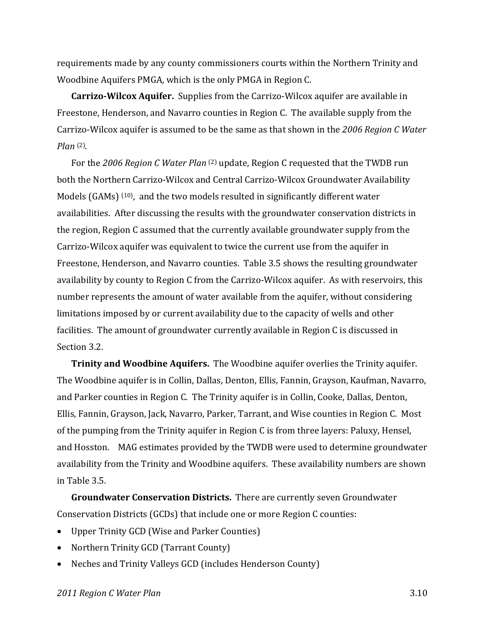requirements made by any county commissioners courts within the Northern Trinity and Woodbine Aquifers PMGA, which is the only PMGA in Region C.

**CarrizoWilcox Aquifer.** Supplies from the Carrizo‐Wilcox aquifer are available in Freestone, Henderson, and Navarro counties in Region C. The available supply from the Carrizo‐Wilcox aquifer is assumed to be the same as that shown in the *2006 Region C Water Plan* (2).

For the *2006 Region C Water Plan* (2) update, Region C requested that the TWDB run both the Northern Carrizo‐Wilcox and Central Carrizo‐Wilcox Groundwater Availability Models (GAMs) <sup>(10)</sup>, and the two models resulted in significantly different water availabilities. After discussing the results with the groundwater conservation districts in the region, Region C assumed that the currently available groundwater supply from the Carrizo‐Wilcox aquifer was equivalent to twice the current use from the aquifer in Freestone, Henderson, and Navarro counties. Table 3.5 shows the resulting groundwater availability by county to Region C from the Carrizo-Wilcox aquifer. As with reservoirs, this number represents the amount of water available from the aquifer, without considering limitations imposed by or current availability due to the capacity of wells and other facilities. The amount of groundwater currently available in Region C is discussed in Section 3.2.

**Trinity and Woodbine Aquifers.** The Woodbine aquifer overlies the Trinity aquifer. The Woodbine aquifer is in Collin, Dallas, Denton, Ellis, Fannin, Grayson, Kaufman, Navarro, and Parker counties in Region C. The Trinity aquifer is in Collin, Cooke, Dallas, Denton, Ellis, Fannin, Grayson, Jack, Navarro, Parker, Tarrant, and Wise counties in Region C. Most of the pumping from the Trinity aquifer in Region C is from three layers: Paluxy, Hensel, and Hosston. MAG estimates provided by the TWDB were used to determine groundwater availability from the Trinity and Woodbine aquifers. These availability numbers are shown in Table 3.5.

**Groundwater Conservation Districts.** There are currently seven Groundwater Conservation Districts (GCDs) that include one or more Region C counties:

- Upper Trinity GCD (Wise and Parker Counties)
- Northern Trinity GCD (Tarrant County)
- Neches and Trinity Valleys GCD (includes Henderson County)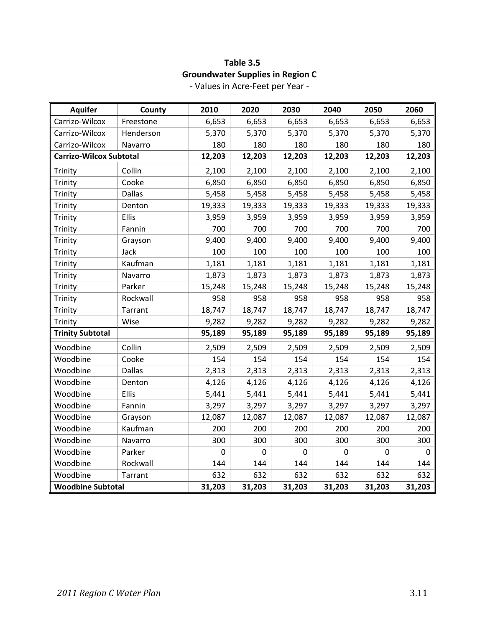# **Table 3.5 Groundwater Supplies in Region C**

| <b>Aquifer</b>                 | County        | 2010           | 2020        | 2030        | 2040        | 2050   | 2060        |
|--------------------------------|---------------|----------------|-------------|-------------|-------------|--------|-------------|
| Carrizo-Wilcox                 | Freestone     | 6,653          | 6,653       | 6,653       | 6,653       | 6,653  | 6,653       |
| Carrizo-Wilcox                 | Henderson     | 5,370          | 5,370       | 5,370       | 5,370       | 5,370  | 5,370       |
| Carrizo-Wilcox                 | Navarro       | 180            | 180         | 180         | 180         | 180    | 180         |
| <b>Carrizo-Wilcox Subtotal</b> |               | 12,203         | 12,203      | 12,203      | 12,203      | 12,203 | 12,203      |
| Trinity                        | Collin        | 2,100          | 2,100       | 2,100       | 2,100       | 2,100  | 2,100       |
| Trinity                        | Cooke         | 6,850          | 6,850       | 6,850       | 6,850       | 6,850  | 6,850       |
| Trinity                        | <b>Dallas</b> | 5,458          | 5,458       | 5,458       | 5,458       | 5,458  | 5,458       |
| Trinity                        | Denton        | 19,333         | 19,333      | 19,333      | 19,333      | 19,333 | 19,333      |
| Trinity                        | Ellis         | 3,959          | 3,959       | 3,959       | 3,959       | 3,959  | 3,959       |
| Trinity                        | Fannin        | 700            | 700         | 700         | 700         | 700    | 700         |
| Trinity                        | Grayson       | 9,400          | 9,400       | 9,400       | 9,400       | 9,400  | 9,400       |
| Trinity                        | Jack          | 100            | 100         | 100         | 100         | 100    | 100         |
| Trinity                        | Kaufman       | 1,181          | 1,181       | 1,181       | 1,181       | 1,181  | 1,181       |
| Trinity                        | Navarro       | 1,873          | 1,873       | 1,873       | 1,873       | 1,873  | 1,873       |
| Trinity                        | Parker        | 15,248         | 15,248      | 15,248      | 15,248      | 15,248 | 15,248      |
| Trinity                        | Rockwall      | 958            | 958         | 958         | 958         | 958    | 958         |
| Trinity                        | Tarrant       | 18,747         | 18,747      | 18,747      | 18,747      | 18,747 | 18,747      |
| Trinity                        | Wise          | 9,282          | 9,282       | 9,282       | 9,282       | 9,282  | 9,282       |
| <b>Trinity Subtotal</b>        |               | 95,189         | 95,189      | 95,189      | 95,189      | 95,189 | 95,189      |
| Woodbine                       | Collin        | 2,509          | 2,509       | 2,509       | 2,509       | 2,509  | 2,509       |
| Woodbine                       | Cooke         | 154            | 154         | 154         | 154         | 154    | 154         |
| Woodbine                       | <b>Dallas</b> | 2,313          | 2,313       | 2,313       | 2,313       | 2,313  | 2,313       |
| Woodbine                       | Denton        | 4,126          | 4,126       | 4,126       | 4,126       | 4,126  | 4,126       |
| Woodbine                       | Ellis         | 5,441          | 5,441       | 5,441       | 5,441       | 5,441  | 5,441       |
| Woodbine                       | Fannin        | 3,297          | 3,297       | 3,297       | 3,297       | 3,297  | 3,297       |
| Woodbine                       | Grayson       | 12,087         | 12,087      | 12,087      | 12,087      | 12,087 | 12,087      |
| Woodbine                       | Kaufman       | 200            | 200         | 200         | 200         | 200    | 200         |
| Woodbine                       | Navarro       | 300            | 300         | 300         | 300         | 300    | 300         |
| Woodbine                       | Parker        | $\overline{0}$ | $\mathbf 0$ | $\mathbf 0$ | $\mathbf 0$ | 0      | $\mathbf 0$ |
| Woodbine                       | Rockwall      | 144            | 144         | 144         | 144         | 144    | 144         |
| Woodbine                       | Tarrant       | 632            | 632         | 632         | 632         | 632    | 632         |
| <b>Woodbine Subtotal</b>       |               | 31,203         | 31,203      | 31,203      | 31,203      | 31,203 | 31,203      |

‐ Values in Acre‐Feet per Year ‐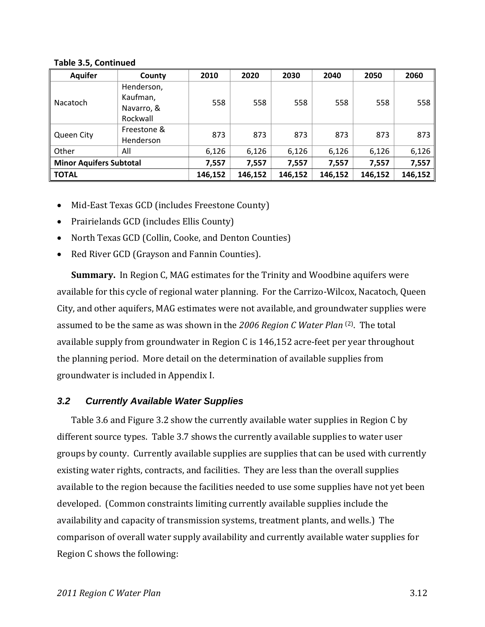| <b>Aquifer</b>                 | County                                           | 2010    | 2020    | 2030    | 2040    | 2050    | 2060    |
|--------------------------------|--------------------------------------------------|---------|---------|---------|---------|---------|---------|
| Nacatoch                       | Henderson,<br>Kaufman,<br>Navarro, &<br>Rockwall | 558     | 558     | 558     | 558     | 558     | 558     |
| <b>Queen City</b>              | Freestone &<br>Henderson                         | 873     | 873     | 873     | 873     | 873     | 873     |
| Other                          | All                                              | 6,126   | 6,126   | 6,126   | 6,126   | 6,126   | 6,126   |
| <b>Minor Aquifers Subtotal</b> |                                                  | 7,557   | 7,557   | 7,557   | 7,557   | 7,557   | 7,557   |
| <b>TOTAL</b>                   |                                                  | 146,152 | 146,152 | 146,152 | 146,152 | 146,152 | 146,152 |

#### **Table 3.5, Continued**

- Mid-East Texas GCD (includes Freestone County)
- Prairielands GCD (includes Ellis County)
- North Texas GCD (Collin, Cooke, and Denton Counties)
- Red River GCD (Grayson and Fannin Counties).

**Summary.** In Region C, MAG estimates for the Trinity and Woodbine aquifers were available for this cycle of regional water planning. For the Carrizo‐Wilcox, Nacatoch, Queen City, and other aquifers, MAG estimates were not available, and groundwater supplies were assumed to be the same as was shown in the *2006 Region C Water Plan* (2). The total available supply from groundwater in Region C is 146,152 acre‐feet per year throughout the planning period. More detail on the determination of available supplies from groundwater is included in Appendix I.

### *3.2 Currently Available Water Supplies*

Table 3.6 and Figure 3.2 show the currently available water supplies in Region C by different source types. Table 3.7 shows the currently available supplies to water user groups by county. Currently available supplies are supplies that can be used with currently existing water rights, contracts, and facilities. They are less than the overall supplies available to the region because the facilities needed to use some supplies have not yet been developed. (Common constraints limiting currently available supplies include the availability and capacity of transmission systems, treatment plants, and wells.) The comparison of overall water supply availability and currently available water supplies for Region C shows the following: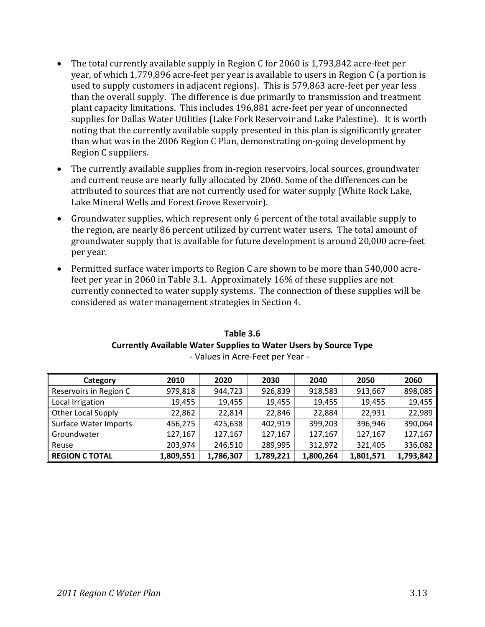- The total currently available supply in Region C for 2060 is 1,793,842 acre‐feet per year, of which 1,779,896 acre‐feet per year is available to users in Region C (a portion is used to supply customers in adjacent regions). This is 579,863 acre‐feet per year less than the overall supply. The difference is due primarily to transmission and treatment plant capacity limitations. This includes 196,881 acre‐feet per year of unconnected supplies for Dallas Water Utilities (Lake Fork Reservoir and Lake Palestine). It is worth noting that the currently available supply presented in this plan is significantly greater than what was in the 2006 Region C Plan, demonstrating on‐going development by Region C suppliers.
- The currently available supplies from in-region reservoirs, local sources, groundwater and current reuse are nearly fully allocated by 2060. Some of the differences can be attributed to sources that are not currently used for water supply (White Rock Lake, Lake Mineral Wells and Forest Grove Reservoir).
- Groundwater supplies, which represent only 6 percent of the total available supply to the region, are nearly 86 percent utilized by current water users. The total amount of groundwater supply that is available for future development is around 20,000 acre‐feet per year.
- Permitted surface water imports to Region C are shown to be more than 540,000 acrefeet per year in 2060 in Table 3.1. Approximately 16% of these supplies are not currently connected to water supply systems. The connection of these supplies will be considered as water management strategies in Section 4.

| Table 3.6                                                               |
|-------------------------------------------------------------------------|
| <b>Currently Available Water Supplies to Water Users by Source Type</b> |
| Males to Associated Messi                                               |

| Category                     | 2010      | 2020      | 2030      | 2040      | 2050      | 2060      |
|------------------------------|-----------|-----------|-----------|-----------|-----------|-----------|
| Reservoirs in Region C       | 979,818   | 944,723   | 926,839   | 918,583   | 913,667   | 898,085   |
| Local Irrigation             | 19,455    | 19,455    | 19,455    | 19,455    | 19,455    | 19,455    |
| <b>Other Local Supply</b>    | 22,862    | 22,814    | 22,846    | 22,884    | 22,931    | 22,989    |
| <b>Surface Water Imports</b> | 456,275   | 425,638   | 402,919   | 399,203   | 396,946   | 390,064   |
| Groundwater                  | 127,167   | 127,167   | 127,167   | 127,167   | 127,167   | 127,167   |
| Reuse                        | 203,974   | 246,510   | 289,995   | 312,972   | 321,405   | 336,082   |
| <b>REGION C TOTAL</b>        | 1,809,551 | 1,786,307 | 1,789,221 | 1,800,264 | 1,801,571 | 1,793,842 |

‐ Values in Acre‐Feet per Year ‐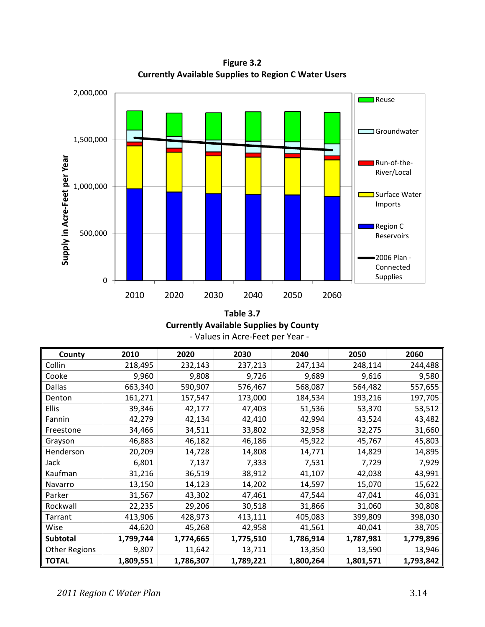**Figure 3.2 Currently Available Supplies to Region C Water Users**



**Table 3.7 Currently Available Supplies by County** ‐ Values in Acre‐Feet per Year ‐

| County               | 2010      | 2020      | 2030      | 2040      | 2050      | 2060      |
|----------------------|-----------|-----------|-----------|-----------|-----------|-----------|
| Collin               | 218,495   | 232,143   | 237,213   | 247,134   | 248,114   | 244,488   |
| Cooke                | 9,960     | 9,808     | 9,726     | 9,689     | 9,616     | 9,580     |
| <b>Dallas</b>        | 663,340   | 590,907   | 576,467   | 568,087   | 564,482   | 557,655   |
| Denton               | 161,271   | 157,547   | 173,000   | 184,534   | 193,216   | 197,705   |
| <b>Ellis</b>         | 39,346    | 42,177    | 47,403    | 51,536    | 53,370    | 53,512    |
| Fannin               | 42,279    | 42,134    | 42,410    | 42,994    | 43,524    | 43,482    |
| Freestone            | 34,466    | 34,511    | 33,802    | 32,958    | 32,275    | 31,660    |
| Grayson              | 46,883    | 46,182    | 46,186    | 45,922    | 45,767    | 45,803    |
| Henderson            | 20,209    | 14,728    | 14,808    | 14,771    | 14,829    | 14,895    |
| Jack                 | 6,801     | 7,137     | 7,333     | 7,531     | 7,729     | 7,929     |
| Kaufman              | 31,216    | 36,519    | 38,912    | 41,107    | 42,038    | 43,991    |
| Navarro              | 13,150    | 14,123    | 14,202    | 14,597    | 15,070    | 15,622    |
| Parker               | 31,567    | 43,302    | 47,461    | 47,544    | 47,041    | 46,031    |
| Rockwall             | 22,235    | 29,206    | 30,518    | 31,866    | 31,060    | 30,808    |
| Tarrant              | 413,906   | 428,973   | 413,111   | 405,083   | 399,809   | 398,030   |
| Wise                 | 44,620    | 45,268    | 42,958    | 41,561    | 40,041    | 38,705    |
| <b>Subtotal</b>      | 1,799,744 | 1,774,665 | 1,775,510 | 1,786,914 | 1,787,981 | 1,779,896 |
| <b>Other Regions</b> | 9,807     | 11,642    | 13,711    | 13,350    | 13,590    | 13,946    |
| <b>TOTAL</b>         | 1,809,551 | 1,786,307 | 1,789,221 | 1,800,264 | 1,801,571 | 1,793,842 |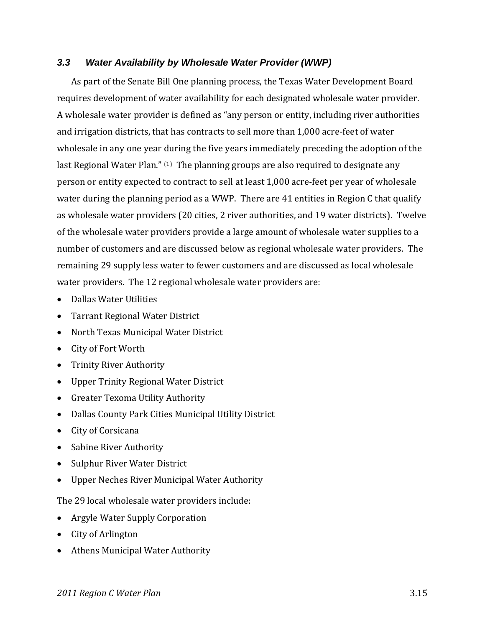### *3.3 Water Availability by Wholesale Water Provider (WWP)*

As part of the Senate Bill One planning process, the Texas Water Development Board requires development of water availability for each designated wholesale water provider. A wholesale water provider is defined as "any person or entity, including river authorities and irrigation districts, that has contracts to sell more than 1,000 acre‐feet of water wholesale in any one year during the five years immediately preceding the adoption of the last Regional Water Plan." (1) The planning groups are also required to designate any person or entity expected to contract to sell at least 1,000 acre‐feet per year of wholesale water during the planning period as a WWP. There are 41 entities in Region C that qualify as wholesale water providers (20 cities, 2 river authorities, and 19 water districts). Twelve of the wholesale water providers provide a large amount of wholesale water supplies to a number of customers and are discussed below as regional wholesale water providers. The remaining 29 supply less water to fewer customers and are discussed as local wholesale water providers. The 12 regional wholesale water providers are:

- Dallas Water Utilities
- Tarrant Regional Water District
- North Texas Municipal Water District
- City of Fort Worth
- Trinity River Authority
- Upper Trinity Regional Water District
- Greater Texoma Utility Authority
- Dallas County Park Cities Municipal Utility District
- City of Corsicana
- Sabine River Authority
- Sulphur River Water District
- Upper Neches River Municipal Water Authority

The 29 local wholesale water providers include:

- Argyle Water Supply Corporation
- City of Arlington
- Athens Municipal Water Authority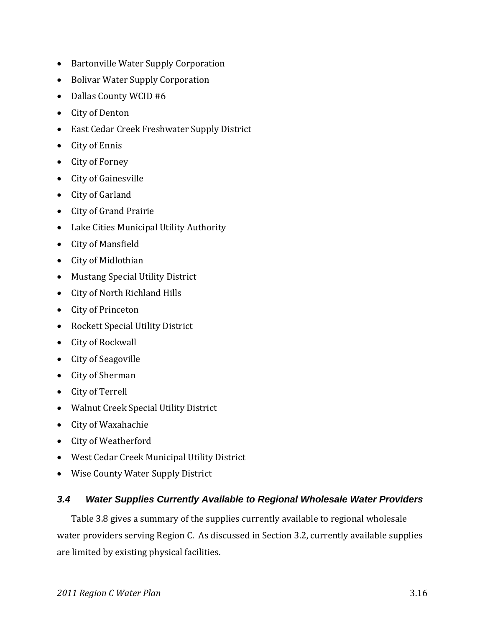- Bartonville Water Supply Corporation
- Bolivar Water Supply Corporation
- Dallas County WCID #6
- City of Denton
- East Cedar Creek Freshwater Supply District
- City of Ennis
- City of Forney
- City of Gainesville
- City of Garland
- City of Grand Prairie
- Lake Cities Municipal Utility Authority
- City of Mansfield
- City of Midlothian
- Mustang Special Utility District
- City of North Richland Hills
- City of Princeton
- Rockett Special Utility District
- City of Rockwall
- City of Seagoville
- City of Sherman
- City of Terrell
- Walnut Creek Special Utility District
- City of Waxahachie
- City of Weatherford
- West Cedar Creek Municipal Utility District
- Wise County Water Supply District

### *3.4 Water Supplies Currently Available to Regional Wholesale Water Providers*

Table 3.8 gives a summary of the supplies currently available to regional wholesale water providers serving Region C. As discussed in Section 3.2, currently available supplies are limited by existing physical facilities.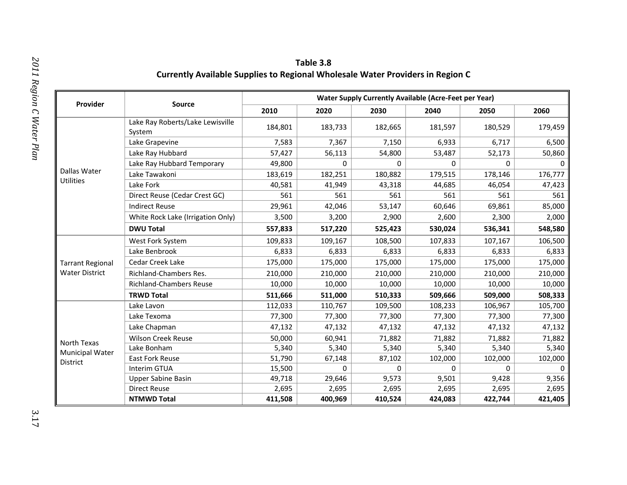| Table 3.8                                                                             |
|---------------------------------------------------------------------------------------|
| <b>Currently Available Supplies to Regional Wholesale Water Providers in Region C</b> |

|                         |                                            |         |         | <b>Water Supply Currently Available (Acre-Feet per Year)</b> |          |          |          |
|-------------------------|--------------------------------------------|---------|---------|--------------------------------------------------------------|----------|----------|----------|
| Provider                | <b>Source</b>                              | 2010    | 2020    | 2030                                                         | 2040     | 2050     | 2060     |
|                         | Lake Ray Roberts/Lake Lewisville<br>System | 184,801 | 183,733 | 182,665                                                      | 181,597  | 180,529  | 179,459  |
|                         | Lake Grapevine                             | 7,583   | 7,367   | 7,150                                                        | 6,933    | 6,717    | 6,500    |
|                         | Lake Ray Hubbard                           | 57,427  | 56,113  | 54,800                                                       | 53,487   | 52,173   | 50,860   |
|                         | Lake Ray Hubbard Temporary                 | 49,800  | 0       | 0                                                            | 0        | $\Omega$ | $\Omega$ |
| Dallas Water            | Lake Tawakoni                              | 183,619 | 182,251 | 180,882                                                      | 179,515  | 178,146  | 176,777  |
| Utilities               | Lake Fork                                  | 40,581  | 41,949  | 43,318                                                       | 44,685   | 46,054   | 47,423   |
|                         | Direct Reuse (Cedar Crest GC)              | 561     | 561     | 561                                                          | 561      | 561      | 561      |
|                         | <b>Indirect Reuse</b>                      | 29,961  | 42,046  | 53,147                                                       | 60,646   | 69,861   | 85,000   |
|                         | White Rock Lake (Irrigation Only)          | 3,500   | 3,200   | 2,900                                                        | 2,600    | 2,300    | 2,000    |
|                         | <b>DWU Total</b>                           | 557,833 | 517,220 | 525,423                                                      | 530,024  | 536,341  | 548,580  |
|                         | West Fork System                           | 109,833 | 109,167 | 108,500                                                      | 107,833  | 107,167  | 106,500  |
|                         | Lake Benbrook                              | 6,833   | 6,833   | 6,833                                                        | 6,833    | 6,833    | 6,833    |
| <b>Tarrant Regional</b> | <b>Cedar Creek Lake</b>                    | 175,000 | 175,000 | 175,000                                                      | 175,000  | 175,000  | 175,000  |
| <b>Water District</b>   | Richland-Chambers Res.                     | 210,000 | 210,000 | 210,000                                                      | 210,000  | 210,000  | 210,000  |
|                         | <b>Richland-Chambers Reuse</b>             | 10,000  | 10,000  | 10,000                                                       | 10,000   | 10,000   | 10,000   |
|                         | <b>TRWD Total</b>                          | 511,666 | 511,000 | 510,333                                                      | 509,666  | 509,000  | 508,333  |
|                         | Lake Lavon                                 | 112,033 | 110,767 | 109,500                                                      | 108,233  | 106,967  | 105,700  |
|                         | Lake Texoma                                | 77,300  | 77,300  | 77,300                                                       | 77,300   | 77,300   | 77,300   |
|                         | Lake Chapman                               | 47,132  | 47,132  | 47,132                                                       | 47,132   | 47,132   | 47,132   |
| North Texas             | <b>Wilson Creek Reuse</b>                  | 50,000  | 60,941  | 71,882                                                       | 71,882   | 71,882   | 71,882   |
| <b>Municipal Water</b>  | Lake Bonham                                | 5,340   | 5,340   | 5,340                                                        | 5,340    | 5,340    | 5,340    |
| District                | East Fork Reuse                            | 51,790  | 67,148  | 87,102                                                       | 102,000  | 102,000  | 102,000  |
|                         | Interim GTUA                               | 15,500  | 0       | $\Omega$                                                     | $\Omega$ | $\Omega$ | $\Omega$ |
|                         | <b>Upper Sabine Basin</b>                  | 49,718  | 29,646  | 9,573                                                        | 9,501    | 9,428    | 9,356    |
|                         | <b>Direct Reuse</b>                        | 2,695   | 2,695   | 2,695                                                        | 2,695    | 2,695    | 2,695    |
|                         | <b>NTMWD Total</b>                         | 411,508 | 400,969 | 410,524                                                      | 424,083  | 422,744  | 421,405  |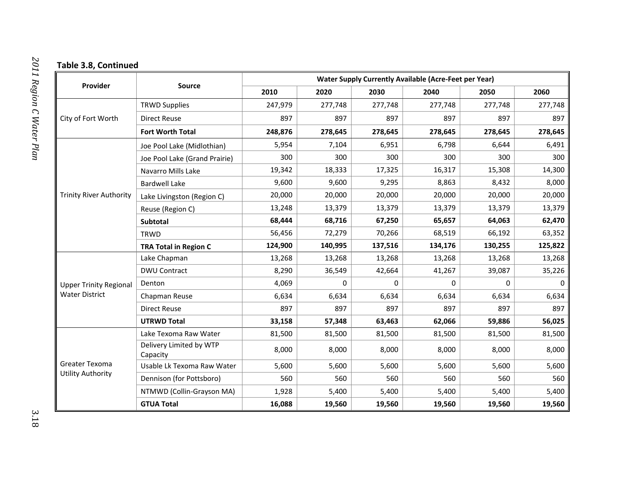#### **Table 3.8, Continued**

|                                            | <b>Water Supply Currently Available (Acre-Feet per Year)</b><br><b>Source</b> |         |          |         |         |                                                                                                                                                                                                                    |          |
|--------------------------------------------|-------------------------------------------------------------------------------|---------|----------|---------|---------|--------------------------------------------------------------------------------------------------------------------------------------------------------------------------------------------------------------------|----------|
| Provider                                   |                                                                               | 2010    | 2020     | 2030    | 2040    | 2050                                                                                                                                                                                                               | 2060     |
|                                            | <b>TRWD Supplies</b>                                                          | 247,979 | 277,748  | 277,748 | 277,748 | 277,748                                                                                                                                                                                                            | 277,748  |
| City of Fort Worth                         | <b>Direct Reuse</b>                                                           | 897     | 897      | 897     | 897     | 897                                                                                                                                                                                                                | 897      |
|                                            | Fort Worth Total                                                              | 248,876 | 278,645  | 278,645 | 278,645 | 278,645<br>6,644<br>300<br>15,308<br>8,432<br>20,000<br>13,379<br>64,063<br>66,192<br>130,255<br>13,268<br>39,087<br>$\Omega$<br>0<br>6,634<br>897<br>59,886<br>81,500<br>8,000<br>5,600<br>560<br>5,400<br>19,560 | 278,645  |
|                                            | Joe Pool Lake (Midlothian)                                                    | 5,954   | 7,104    | 6,951   | 6,798   |                                                                                                                                                                                                                    | 6,491    |
|                                            | Joe Pool Lake (Grand Prairie)                                                 | 300     | 300      | 300     | 300     |                                                                                                                                                                                                                    | 300      |
|                                            | Navarro Mills Lake                                                            | 19,342  | 18,333   | 17,325  | 16,317  |                                                                                                                                                                                                                    | 14,300   |
|                                            | <b>Bardwell Lake</b>                                                          | 9,600   | 9,600    | 9,295   | 8,863   |                                                                                                                                                                                                                    | 8,000    |
| <b>Trinity River Authority</b>             | Lake Livingston (Region C)                                                    | 20,000  | 20,000   | 20,000  | 20,000  |                                                                                                                                                                                                                    | 20,000   |
|                                            | Reuse (Region C)                                                              | 13,248  | 13,379   | 13,379  | 13,379  |                                                                                                                                                                                                                    | 13,379   |
|                                            | Subtotal                                                                      | 68,444  | 68,716   | 67,250  | 65,657  |                                                                                                                                                                                                                    | 62,470   |
|                                            | <b>TRWD</b>                                                                   | 56,456  | 72,279   | 70,266  | 68,519  |                                                                                                                                                                                                                    | 63,352   |
|                                            | <b>TRA Total in Region C</b>                                                  | 124,900 | 140,995  | 137,516 | 134,176 |                                                                                                                                                                                                                    | 125,822  |
|                                            | Lake Chapman                                                                  | 13,268  | 13,268   | 13,268  | 13,268  |                                                                                                                                                                                                                    | 13,268   |
|                                            | <b>DWU Contract</b>                                                           | 8,290   | 36,549   | 42,664  | 41,267  |                                                                                                                                                                                                                    | 35,226   |
| <b>Upper Trinity Regional</b>              | Denton                                                                        | 4,069   | $\Omega$ | 0       |         |                                                                                                                                                                                                                    | $\Omega$ |
| <b>Water District</b>                      | Chapman Reuse                                                                 | 6,634   | 6,634    | 6,634   | 6,634   |                                                                                                                                                                                                                    | 6,634    |
|                                            | <b>Direct Reuse</b>                                                           | 897     | 897      | 897     | 897     |                                                                                                                                                                                                                    | 897      |
|                                            | <b>UTRWD Total</b>                                                            | 33,158  | 57,348   | 63,463  | 62,066  |                                                                                                                                                                                                                    | 56,025   |
|                                            | Lake Texoma Raw Water                                                         | 81,500  | 81,500   | 81,500  | 81,500  |                                                                                                                                                                                                                    | 81,500   |
|                                            | Delivery Limited by WTP<br>Capacity                                           | 8,000   | 8,000    | 8,000   | 8,000   |                                                                                                                                                                                                                    | 8,000    |
| Greater Texoma<br><b>Utility Authority</b> | Usable Lk Texoma Raw Water                                                    | 5,600   | 5,600    | 5,600   | 5,600   |                                                                                                                                                                                                                    | 5,600    |
|                                            | Dennison (for Pottsboro)                                                      | 560     | 560      | 560     | 560     |                                                                                                                                                                                                                    | 560      |
|                                            | NTMWD (Collin-Grayson MA)                                                     | 1,928   | 5,400    | 5,400   | 5,400   |                                                                                                                                                                                                                    | 5,400    |
|                                            | <b>GTUA Total</b>                                                             | 16,088  | 19,560   | 19,560  | 19,560  |                                                                                                                                                                                                                    | 19,560   |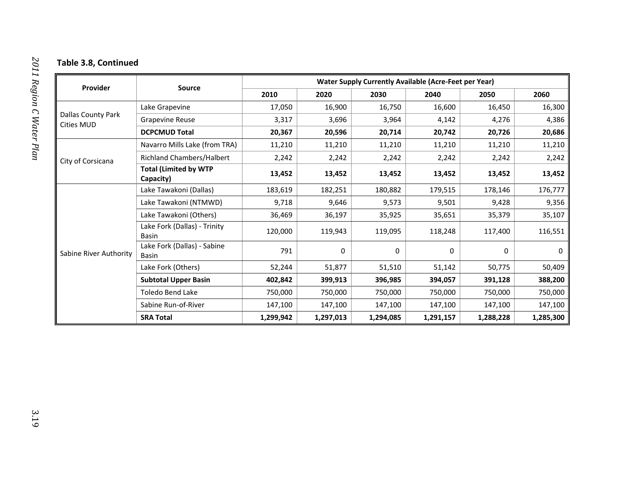#### **Table 3.8, Continued**

|                                         |                                           | <b>Water Supply Currently Available (Acre-Feet per Year)</b> |           |           |           |                                                                                                                                                                      |           |  |  |
|-----------------------------------------|-------------------------------------------|--------------------------------------------------------------|-----------|-----------|-----------|----------------------------------------------------------------------------------------------------------------------------------------------------------------------|-----------|--|--|
| Provider                                | <b>Source</b>                             | 2010                                                         | 2020      | 2030      | 2040      | 2050<br>16,450<br>4,276<br>20,726<br>11,210<br>2,242<br>13,452<br>178,146<br>9,428<br>35,379<br>117,400<br>0<br>50,775<br>391,128<br>750,000<br>147,100<br>1,288,228 | 2060      |  |  |
|                                         | Lake Grapevine                            | 17,050                                                       | 16,900    | 16,750    | 16,600    |                                                                                                                                                                      | 16,300    |  |  |
| Dallas County Park<br><b>Cities MUD</b> | <b>Grapevine Reuse</b>                    | 3,317                                                        | 3,696     | 3,964     | 4,142     |                                                                                                                                                                      | 4,386     |  |  |
|                                         | <b>DCPCMUD Total</b>                      | 20,367                                                       | 20,596    | 20,714    | 20,742    |                                                                                                                                                                      | 20,686    |  |  |
|                                         | Navarro Mills Lake (from TRA)             | 11,210                                                       | 11,210    | 11,210    | 11,210    |                                                                                                                                                                      | 11,210    |  |  |
| City of Corsicana                       | Richland Chambers/Halbert                 | 2,242                                                        | 2,242     | 2,242     | 2,242     |                                                                                                                                                                      | 2,242     |  |  |
|                                         | <b>Total (Limited by WTP</b><br>Capacity) | 13,452                                                       | 13,452    | 13,452    | 13,452    |                                                                                                                                                                      | 13,452    |  |  |
|                                         | Lake Tawakoni (Dallas)                    | 183,619                                                      | 182,251   | 180,882   | 179,515   |                                                                                                                                                                      | 176,777   |  |  |
|                                         | Lake Tawakoni (NTMWD)                     | 9,718                                                        | 9,646     | 9,573     | 9,501     |                                                                                                                                                                      | 9,356     |  |  |
|                                         | Lake Tawakoni (Others)                    | 36,469                                                       | 36,197    | 35,925    | 35,651    |                                                                                                                                                                      | 35,107    |  |  |
|                                         | Lake Fork (Dallas) - Trinity<br>Basin     | 120,000                                                      | 119,943   | 119,095   | 118,248   |                                                                                                                                                                      | 116,551   |  |  |
| Sabine River Authority                  | Lake Fork (Dallas) - Sabine<br>Basin      | 791                                                          | 0         | $\Omega$  | 0         |                                                                                                                                                                      | 0         |  |  |
|                                         | Lake Fork (Others)                        | 52,244                                                       | 51,877    | 51,510    | 51,142    |                                                                                                                                                                      | 50,409    |  |  |
|                                         | <b>Subtotal Upper Basin</b>               | 402,842                                                      | 399,913   | 396,985   | 394,057   |                                                                                                                                                                      | 388,200   |  |  |
|                                         | <b>Toledo Bend Lake</b>                   | 750,000                                                      | 750,000   | 750,000   | 750,000   |                                                                                                                                                                      | 750,000   |  |  |
|                                         | Sabine Run-of-River                       | 147,100                                                      | 147,100   | 147,100   | 147,100   |                                                                                                                                                                      | 147,100   |  |  |
|                                         | <b>SRA Total</b>                          | 1,299,942                                                    | 1,297,013 | 1,294,085 | 1,291,157 |                                                                                                                                                                      | 1,285,300 |  |  |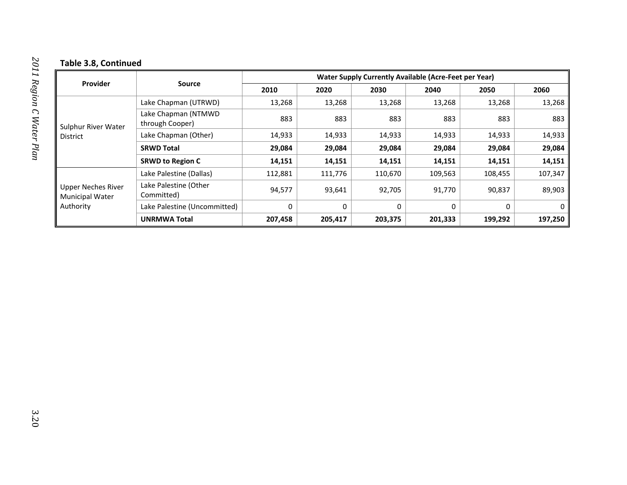#### **Table 3.8, Continued**

|                                                                  | <b>Source</b>                          | <b>Water Supply Currently Available (Acre-Feet per Year)</b> |         |         |          |          |         |  |  |
|------------------------------------------------------------------|----------------------------------------|--------------------------------------------------------------|---------|---------|----------|----------|---------|--|--|
| <b>Provider</b>                                                  |                                        | 2010                                                         | 2020    | 2030    | 2040     | 2050     | 2060    |  |  |
|                                                                  | Lake Chapman (UTRWD)                   | 13,268                                                       | 13,268  | 13,268  | 13,268   | 13,268   | 13,268  |  |  |
| Sulphur River Water<br><b>District</b>                           | Lake Chapman (NTMWD<br>through Cooper) | 883                                                          | 883     | 883     | 883      | 883      | 883     |  |  |
|                                                                  | Lake Chapman (Other)                   | 14,933                                                       | 14,933  | 14,933  | 14,933   | 14,933   | 14,933  |  |  |
|                                                                  | <b>SRWD Total</b>                      | 29,084                                                       | 29,084  | 29,084  | 29,084   | 29,084   | 29,084  |  |  |
|                                                                  | <b>SRWD to Region C</b>                | 14,151                                                       | 14,151  | 14,151  | 14,151   | 14,151   | 14,151  |  |  |
|                                                                  | Lake Palestine (Dallas)                | 112,881                                                      | 111,776 | 110,670 | 109,563  | 108,455  | 107,347 |  |  |
| <b>Upper Neches River</b><br><b>Municipal Water</b><br>Authority | Lake Palestine (Other<br>Committed)    | 94,577                                                       | 93,641  | 92,705  | 91,770   | 90,837   | 89,903  |  |  |
|                                                                  | Lake Palestine (Uncommitted)           | 0                                                            | 0       | 0       | $\Omega$ | $\Omega$ | 0       |  |  |
|                                                                  | <b>UNRMWA Total</b>                    | 207,458                                                      | 205,417 | 203,375 | 201,333  | 199,292  | 197,250 |  |  |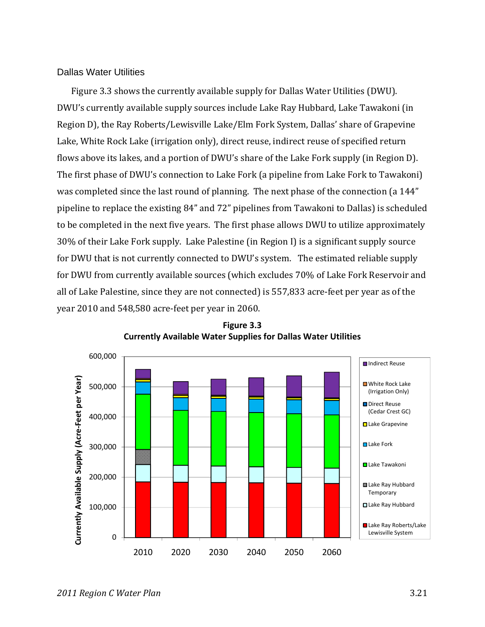#### Dallas Water Utilities

Figure 3.3 shows the currently available supply for Dallas Water Utilities (DWU). DWU's currently available supply sources include Lake Ray Hubbard, Lake Tawakoni (in Region D), the Ray Roberts/Lewisville Lake/Elm Fork System, Dallas' share of Grapevine Lake, White Rock Lake (irrigation only), direct reuse, indirect reuse of specified return flows above its lakes, and a portion of DWU's share of the Lake Fork supply (in Region D). The first phase of DWU's connection to Lake Fork (a pipeline from Lake Fork to Tawakoni) was completed since the last round of planning. The next phase of the connection (a 144" pipeline to replace the existing 84" and 72" pipelines from Tawakoni to Dallas) is scheduled to be completed in the next five years. The first phase allows DWU to utilize approximately 30% of their Lake Fork supply. Lake Palestine (in Region I) is a significant supply source for DWU that is not currently connected to DWU's system. The estimated reliable supply for DWU from currently available sources (which excludes 70% of Lake Fork Reservoir and all of Lake Palestine, since they are not connected) is 557,833 acre‐feet per year as of the year 2010 and 548,580 acre‐feet per year in 2060.



**Figure 3.3 Currently Available Water Supplies for Dallas Water Utilities**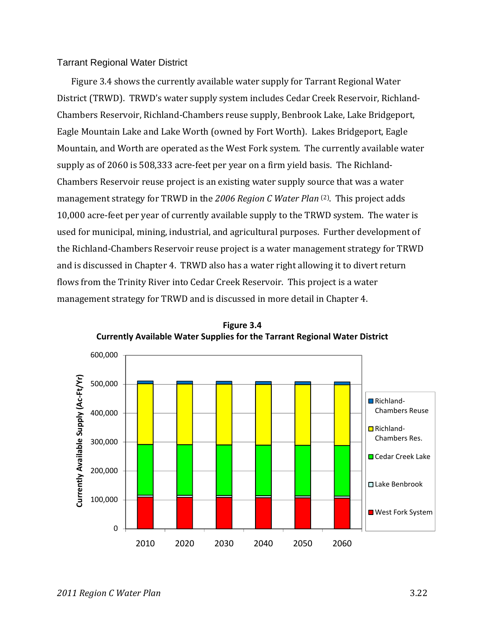#### Tarrant Regional Water District

Figure 3.4 shows the currently available water supply for Tarrant Regional Water District (TRWD). TRWD's water supply system includes Cedar Creek Reservoir, Richland‐ Chambers Reservoir, Richland‐Chambers reuse supply, Benbrook Lake, Lake Bridgeport, Eagle Mountain Lake and Lake Worth (owned by Fort Worth). Lakes Bridgeport, Eagle Mountain, and Worth are operated as the West Fork system. The currently available water supply as of 2060 is 508,333 acre‐feet per year on a firm yield basis. The Richland‐ Chambers Reservoir reuse project is an existing water supply source that was a water management strategy for TRWD in the *2006 Region C Water Plan* (2). This project adds 10,000 acre‐feet per year of currently available supply to the TRWD system. The water is used for municipal, mining, industrial, and agricultural purposes. Further development of the Richland‐Chambers Reservoir reuse project is a water management strategy for TRWD and is discussed in Chapter 4. TRWD also has a water right allowing it to divert return flows from the Trinity River into Cedar Creek Reservoir. This project is a water management strategy for TRWD and is discussed in more detail in Chapter 4.



**Figure 3.4 Currently Available Water Supplies for the Tarrant Regional Water District**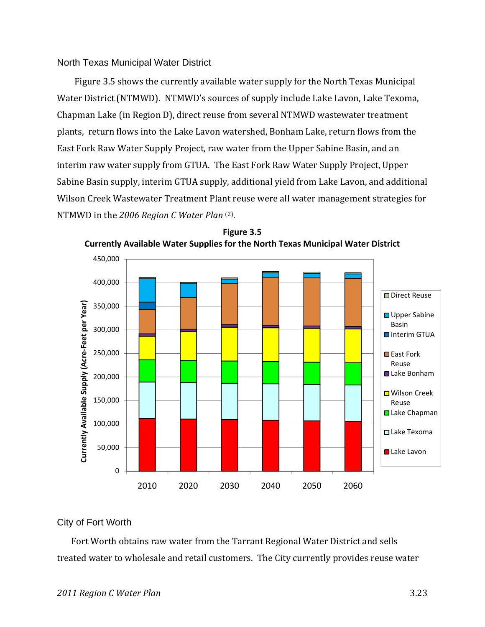#### North Texas Municipal Water District

Figure 3.5 shows the currently available water supply for the North Texas Municipal Water District (NTMWD). NTMWD's sources of supply include Lake Lavon, Lake Texoma, Chapman Lake (in Region D), direct reuse from several NTMWD wastewater treatment plants, return flows into the Lake Lavon watershed, Bonham Lake, return flows from the East Fork Raw Water Supply Project, raw water from the Upper Sabine Basin, and an interim raw water supply from GTUA. The East Fork Raw Water Supply Project, Upper Sabine Basin supply, interim GTUA supply, additional yield from Lake Lavon, and additional Wilson Creek Wastewater Treatment Plant reuse were all water management strategies for NTMWD in the *2006 Region C Water Plan* (2).



**Figure 3.5 Currently Available Water Supplies for the North Texas Municipal Water District**

#### City of Fort Worth

Fort Worth obtains raw water from the Tarrant Regional Water District and sells treated water to wholesale and retail customers. The City currently provides reuse water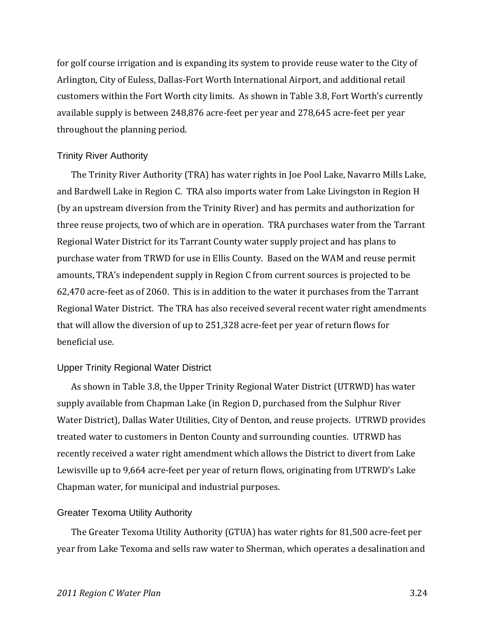for golf course irrigation and is expanding its system to provide reuse water to the City of Arlington, City of Euless, Dallas‐Fort Worth International Airport, and additional retail customers within the Fort Worth city limits. As shown in Table 3.8, Fort Worth's currently available supply is between 248,876 acre‐feet per year and 278,645 acre‐feet per year throughout the planning period.

#### Trinity River Authority

The Trinity River Authority (TRA) has water rights in Joe Pool Lake, Navarro Mills Lake, and Bardwell Lake in Region C. TRA also imports water from Lake Livingston in Region H (by an upstream diversion from the Trinity River) and has permits and authorization for three reuse projects, two of which are in operation. TRA purchases water from the Tarrant Regional Water District for its Tarrant County water supply project and has plans to purchase water from TRWD for use in Ellis County. Based on the WAM and reuse permit amounts, TRA's independent supply in Region C from current sources is projected to be 62,470 acre‐feet as of 2060. This is in addition to the water it purchases from the Tarrant Regional Water District. The TRA has also received several recent water right amendments that will allow the diversion of up to 251,328 acre‐feet per year of return flows for beneficial use.

#### Upper Trinity Regional Water District

As shown in Table 3.8, the Upper Trinity Regional Water District (UTRWD) has water supply available from Chapman Lake (in Region D, purchased from the Sulphur River Water District), Dallas Water Utilities, City of Denton, and reuse projects. UTRWD provides treated water to customers in Denton County and surrounding counties. UTRWD has recently received a water right amendment which allows the District to divert from Lake Lewisville up to 9,664 acre-feet per year of return flows, originating from UTRWD's Lake Chapman water, for municipal and industrial purposes.

#### Greater Texoma Utility Authority

The Greater Texoma Utility Authority (GTUA) has water rights for 81,500 acre‐feet per year from Lake Texoma and sells raw water to Sherman, which operates a desalination and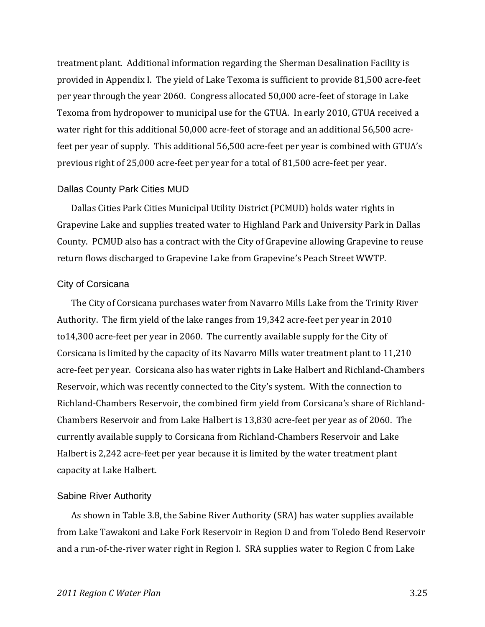treatment plant. Additional information regarding the Sherman Desalination Facility is provided in Appendix I. The yield of Lake Texoma is sufficient to provide 81,500 acre‐feet per year through the year 2060. Congress allocated 50,000 acre‐feet of storage in Lake Texoma from hydropower to municipal use for the GTUA. In early 2010, GTUA received a water right for this additional 50,000 acre-feet of storage and an additional 56,500 acrefeet per year of supply. This additional 56,500 acre-feet per year is combined with GTUA's previous right of 25,000 acre‐feet per year for a total of 81,500 acre‐feet per year.

#### Dallas County Park Cities MUD

Dallas Cities Park Cities Municipal Utility District (PCMUD) holds water rights in Grapevine Lake and supplies treated water to Highland Park and University Park in Dallas County. PCMUD also has a contract with the City of Grapevine allowing Grapevine to reuse return flows discharged to Grapevine Lake from Grapevine's Peach Street WWTP.

#### City of Corsicana

The City of Corsicana purchases water from Navarro Mills Lake from the Trinity River Authority. The firm yield of the lake ranges from 19,342 acre‐feet per year in 2010 to14,300 acre‐feet per year in 2060. The currently available supply for the City of Corsicana is limited by the capacity of its Navarro Mills water treatment plant to 11,210 acre‐feet per year. Corsicana also has water rights in Lake Halbert and Richland‐Chambers Reservoir, which was recently connected to the City's system. With the connection to Richland‐Chambers Reservoir, the combined firm yield from Corsicana's share of Richland‐ Chambers Reservoir and from Lake Halbert is 13,830 acre‐feet per year as of 2060. The currently available supply to Corsicana from Richland‐Chambers Reservoir and Lake Halbert is 2,242 acre‐feet per year because it is limited by the water treatment plant capacity at Lake Halbert.

#### Sabine River Authority

As shown in Table 3.8, the Sabine River Authority (SRA) has water supplies available from Lake Tawakoni and Lake Fork Reservoir in Region D and from Toledo Bend Reservoir and a run-of-the-river water right in Region I. SRA supplies water to Region C from Lake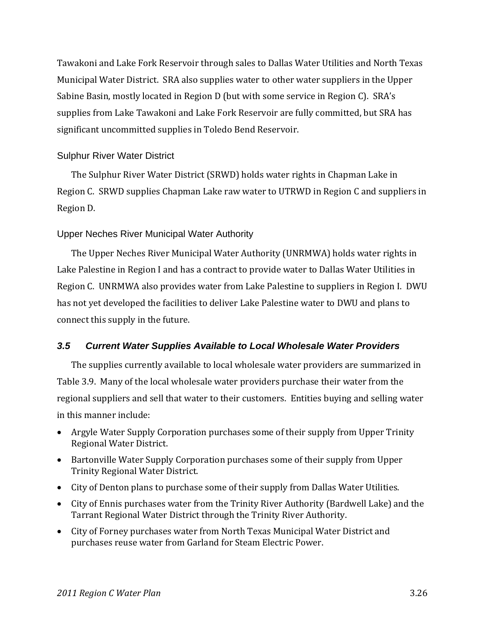Tawakoni and Lake Fork Reservoir through sales to Dallas Water Utilities and North Texas Municipal Water District. SRA also supplies water to other water suppliers in the Upper Sabine Basin, mostly located in Region D (but with some service in Region C). SRA's supplies from Lake Tawakoni and Lake Fork Reservoir are fully committed, but SRA has significant uncommitted supplies in Toledo Bend Reservoir.

### Sulphur River Water District

The Sulphur River Water District (SRWD) holds water rights in Chapman Lake in Region C. SRWD supplies Chapman Lake raw water to UTRWD in Region C and suppliers in Region D.

### Upper Neches River Municipal Water Authority

The Upper Neches River Municipal Water Authority (UNRMWA) holds water rights in Lake Palestine in Region I and has a contract to provide water to Dallas Water Utilities in Region C. UNRMWA also provides water from Lake Palestine to suppliers in Region I. DWU has not yet developed the facilities to deliver Lake Palestine water to DWU and plans to connect this supply in the future.

### *3.5 Current Water Supplies Available to Local Wholesale Water Providers*

The supplies currently available to local wholesale water providers are summarized in Table 3.9. Many of the local wholesale water providers purchase their water from the regional suppliers and sell that water to their customers. Entities buying and selling water in this manner include:

- Argyle Water Supply Corporation purchases some of their supply from Upper Trinity Regional Water District.
- Bartonville Water Supply Corporation purchases some of their supply from Upper Trinity Regional Water District.
- City of Denton plans to purchase some of their supply from Dallas Water Utilities.
- City of Ennis purchases water from the Trinity River Authority (Bardwell Lake) and the Tarrant Regional Water District through the Trinity River Authority.
- City of Forney purchases water from North Texas Municipal Water District and purchases reuse water from Garland for Steam Electric Power.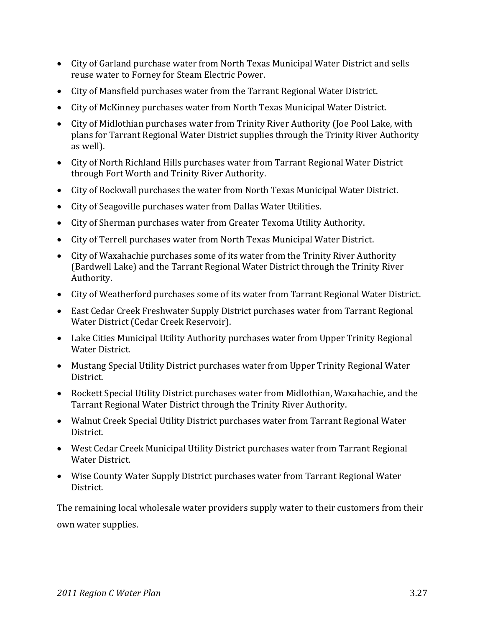- City of Garland purchase water from North Texas Municipal Water District and sells reuse water to Forney for Steam Electric Power.
- City of Mansfield purchases water from the Tarrant Regional Water District.
- City of McKinney purchases water from North Texas Municipal Water District.
- City of Midlothian purchases water from Trinity River Authority (Joe Pool Lake, with plans for Tarrant Regional Water District supplies through the Trinity River Authority as well).
- City of North Richland Hills purchases water from Tarrant Regional Water District through Fort Worth and Trinity River Authority.
- City of Rockwall purchases the water from North Texas Municipal Water District.
- City of Seagoville purchases water from Dallas Water Utilities.
- City of Sherman purchases water from Greater Texoma Utility Authority.
- City of Terrell purchases water from North Texas Municipal Water District.
- City of Waxahachie purchases some of its water from the Trinity River Authority (Bardwell Lake) and the Tarrant Regional Water District through the Trinity River Authority.
- City of Weatherford purchases some of its water from Tarrant Regional Water District.
- East Cedar Creek Freshwater Supply District purchases water from Tarrant Regional Water District (Cedar Creek Reservoir).
- Lake Cities Municipal Utility Authority purchases water from Upper Trinity Regional Water District.
- Mustang Special Utility District purchases water from Upper Trinity Regional Water District.
- Rockett Special Utility District purchases water from Midlothian, Waxahachie, and the Tarrant Regional Water District through the Trinity River Authority.
- Walnut Creek Special Utility District purchases water from Tarrant Regional Water District.
- West Cedar Creek Municipal Utility District purchases water from Tarrant Regional Water District.
- Wise County Water Supply District purchases water from Tarrant Regional Water District.

The remaining local wholesale water providers supply water to their customers from their own water supplies.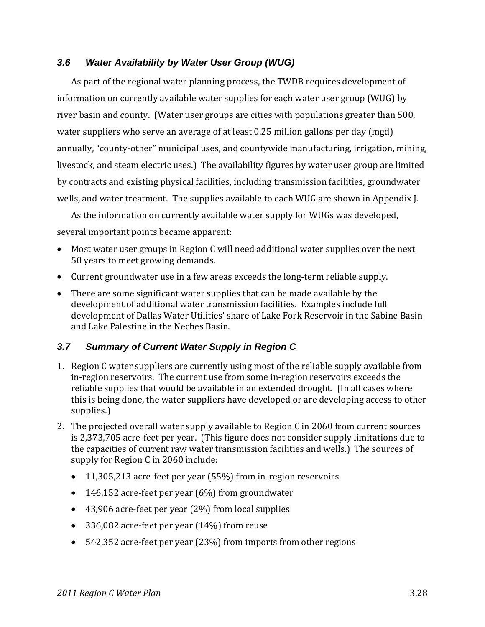### *3.6 Water Availability by Water User Group (WUG)*

As part of the regional water planning process, the TWDB requires development of information on currently available water supplies for each water user group (WUG) by river basin and county. (Water user groups are cities with populations greater than 500, water suppliers who serve an average of at least 0.25 million gallons per day (mgd) annually, "county‐other" municipal uses, and countywide manufacturing, irrigation, mining, livestock, and steam electric uses.) The availability figures by water user group are limited by contracts and existing physical facilities, including transmission facilities, groundwater wells, and water treatment. The supplies available to each WUG are shown in Appendix J.

As the information on currently available water supply for WUGs was developed, several important points became apparent:

- Most water user groups in Region C will need additional water supplies over the next 50 years to meet growing demands.
- Current groundwater use in a few areas exceeds the long-term reliable supply.
- There are some significant water supplies that can be made available by the development of additional water transmission facilities. Examples include full development of Dallas Water Utilities' share of Lake Fork Reservoir in the Sabine Basin and Lake Palestine in the Neches Basin.

### *3.7 Summary of Current Water Supply in Region C*

- 1. Region C water suppliers are currently using most of the reliable supply available from in‐region reservoirs. The current use from some in‐region reservoirs exceeds the reliable supplies that would be available in an extended drought. (In all cases where this is being done, the water suppliers have developed or are developing access to other supplies.)
- 2. The projected overall water supply available to Region C in 2060 from current sources is 2,373,705 acre‐feet per year. (This figure does not consider supply limitations due to the capacities of current raw water transmission facilities and wells.) The sources of supply for Region C in 2060 include:
	- 11,305,213 acre‐feet per year (55%) from in‐region reservoirs
	- $\bullet$  146,152 acre-feet per year (6%) from groundwater
	- 43,906 acre‐feet per year (2%) from local supplies
	- 336,082 acre‐feet per year (14%) from reuse
	- 542,352 acre‐feet per year (23%) from imports from other regions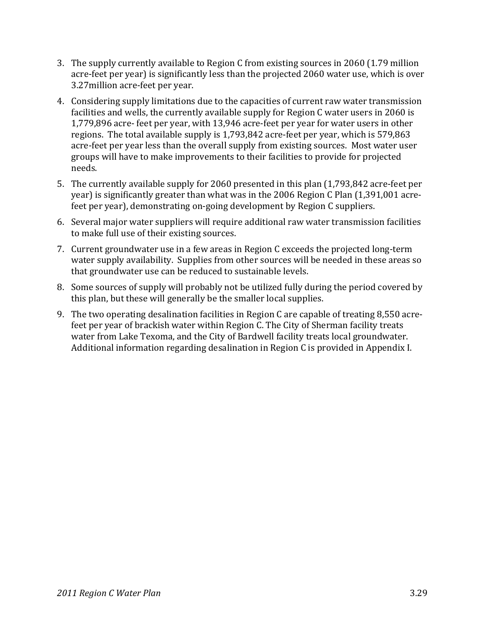- 3. The supply currently available to Region C from existing sources in 2060 (1.79 million acre-feet per year) is significantly less than the projected 2060 water use, which is over 3.27million acre‐feet per year.
- 4. Considering supply limitations due to the capacities of current raw water transmission facilities and wells, the currently available supply for Region C water users in 2060 is 1,779,896 acre‐ feet per year, with 13,946 acre‐feet per year for water users in other regions. The total available supply is 1,793,842 acre‐feet per year, which is 579,863 acre-feet per year less than the overall supply from existing sources. Most water user groups will have to make improvements to their facilities to provide for projected needs.
- 5. The currently available supply for 2060 presented in this plan (1,793,842 acre-feet per year) is significantly greater than what was in the 2006 Region C Plan (1,391,001 acre‐ feet per year), demonstrating on‐going development by Region C suppliers.
- 6. Several major water suppliers will require additional raw water transmission facilities to make full use of their existing sources.
- 7. Current groundwater use in a few areas in Region C exceeds the projected long‐term water supply availability. Supplies from other sources will be needed in these areas so that groundwater use can be reduced to sustainable levels.
- 8. Some sources of supply will probably not be utilized fully during the period covered by this plan, but these will generally be the smaller local supplies.
- 9. The two operating desalination facilities in Region C are capable of treating 8,550 acrefeet per year of brackish water within Region C. The City of Sherman facility treats water from Lake Texoma, and the City of Bardwell facility treats local groundwater. Additional information regarding desalination in Region C is provided in Appendix I.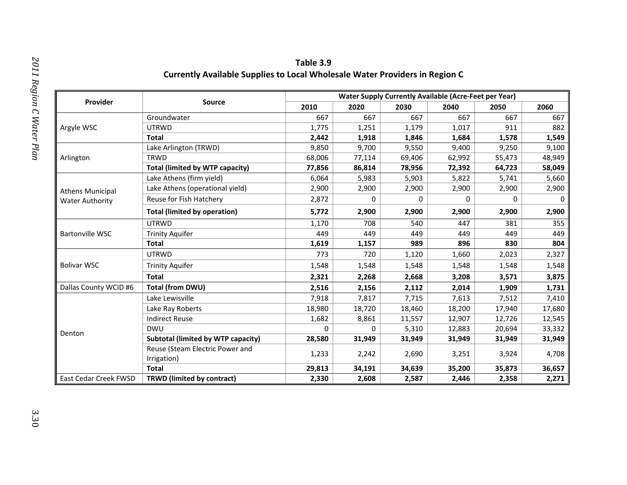| Provider                | <b>Source</b>                             | 2010   | 2020   | 2030   | 2040   | 2050                                                                                                                                                                                                                                                                                                                                              | 2060   |
|-------------------------|-------------------------------------------|--------|--------|--------|--------|---------------------------------------------------------------------------------------------------------------------------------------------------------------------------------------------------------------------------------------------------------------------------------------------------------------------------------------------------|--------|
|                         | Groundwater                               | 667    | 667    | 667    | 667    | 667                                                                                                                                                                                                                                                                                                                                               | 667    |
| Argyle WSC              | <b>UTRWD</b>                              | 1,775  | 1,251  | 1,179  | 1,017  | 911                                                                                                                                                                                                                                                                                                                                               | 882    |
|                         | <b>Total</b>                              | 2,442  | 1,918  | 1,846  | 1,684  | 1,578                                                                                                                                                                                                                                                                                                                                             | 1,549  |
|                         | Lake Arlington (TRWD)                     | 9,850  | 9,700  | 9,550  | 9,400  | 9,250                                                                                                                                                                                                                                                                                                                                             | 9,100  |
| Arlington               | <b>TRWD</b>                               | 68,006 | 77,114 | 69,406 | 62,992 | 55,473                                                                                                                                                                                                                                                                                                                                            | 48,949 |
|                         | <b>Total (limited by WTP capacity)</b>    | 77,856 | 86,814 | 78,956 | 72,392 | 64,723                                                                                                                                                                                                                                                                                                                                            | 58,049 |
|                         | Lake Athens (firm yield)                  | 6,064  | 5,983  | 5,903  | 5,822  | 5,741                                                                                                                                                                                                                                                                                                                                             | 5,660  |
| <b>Athens Municipal</b> | Lake Athens (operational yield)           | 2,900  | 2,900  | 2,900  | 2,900  | 2,900                                                                                                                                                                                                                                                                                                                                             | 2,900  |
| <b>Water Authority</b>  | Reuse for Fish Hatchery                   | 2,872  | 0      | 0      | 0      | 0                                                                                                                                                                                                                                                                                                                                                 | 0      |
|                         | <b>Total (limited by operation)</b>       | 5,772  | 2,900  | 2,900  | 2,900  | <b>Water Supply Currently Available (Acre-Feet per Year)</b><br>2,900<br>447<br>381<br>449<br>449<br>830<br>896<br>1,660<br>2,023<br>1,548<br>1,548<br>3,208<br>3,571<br>1,909<br>2,014<br>7,613<br>7,512<br>18,200<br>17,940<br>12,907<br>12,726<br>20,694<br>12,883<br>31,949<br>31,949<br>3,251<br>3,924<br>35,200<br>35,873<br>2,446<br>2,358 | 2,900  |
|                         | <b>UTRWD</b>                              | 1,170  | 708    | 540    |        |                                                                                                                                                                                                                                                                                                                                                   | 355    |
| <b>Bartonville WSC</b>  | <b>Trinity Aquifer</b>                    | 449    | 449    | 449    |        |                                                                                                                                                                                                                                                                                                                                                   | 449    |
|                         | <b>Total</b>                              | 1,619  | 1,157  | 989    |        |                                                                                                                                                                                                                                                                                                                                                   | 804    |
|                         | <b>UTRWD</b>                              | 773    | 720    | 1,120  |        |                                                                                                                                                                                                                                                                                                                                                   | 2,327  |
| <b>Bolivar WSC</b>      | <b>Trinity Aquifer</b>                    | 1,548  | 1,548  | 1,548  |        |                                                                                                                                                                                                                                                                                                                                                   | 1,548  |
|                         | <b>Total</b>                              | 2,321  | 2,268  | 2,668  |        |                                                                                                                                                                                                                                                                                                                                                   | 3,875  |
| Dallas County WCID #6   | Total (from DWU)                          | 2,516  | 2,156  | 2,112  |        |                                                                                                                                                                                                                                                                                                                                                   | 1,731  |
|                         | Lake Lewisville                           | 7,918  | 7,817  | 7,715  |        |                                                                                                                                                                                                                                                                                                                                                   | 7,410  |
|                         | Lake Ray Roberts                          | 18,980 | 18,720 | 18,460 |        |                                                                                                                                                                                                                                                                                                                                                   | 17,680 |
|                         | <b>Indirect Reuse</b>                     | 1,682  | 8,861  | 11,557 |        |                                                                                                                                                                                                                                                                                                                                                   | 12,545 |
| Denton                  | <b>DWU</b>                                | 0      | 0      | 5,310  |        |                                                                                                                                                                                                                                                                                                                                                   | 33,332 |
|                         | <b>Subtotal (limited by WTP capacity)</b> | 28,580 | 31,949 | 31,949 |        |                                                                                                                                                                                                                                                                                                                                                   | 31,949 |
|                         | Reuse (Steam Electric Power and           | 1,233  | 2,242  | 2,690  |        |                                                                                                                                                                                                                                                                                                                                                   | 4,708  |
|                         | Irrigation)                               |        |        |        |        |                                                                                                                                                                                                                                                                                                                                                   |        |
|                         | <b>Total</b>                              | 29,813 | 34,191 | 34,639 |        |                                                                                                                                                                                                                                                                                                                                                   | 36,657 |
| East Cedar Creek FWSD   | <b>TRWD</b> (limited by contract)         | 2,330  | 2,608  | 2,587  |        |                                                                                                                                                                                                                                                                                                                                                   | 2,271  |

**Table 3.9 Currently Available Supplies to Local Wholesale Water Providers in Region C**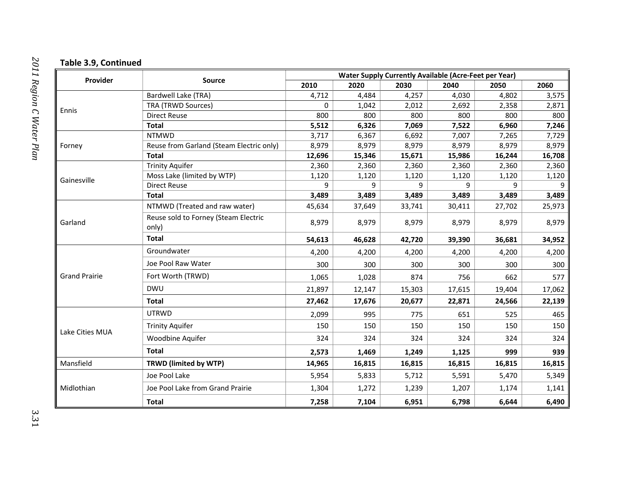#### **Table 3.9, Continued**

|                      |                                               | <b>Water Supply Currently Available (Acre-Feet per Year)</b> |        |                                                                                                                                                                                                                                                                                                                                                                                                                                                                                                                                                                                                                                                                                                                                                                                                                                                                             |       |       |        |  |
|----------------------|-----------------------------------------------|--------------------------------------------------------------|--------|-----------------------------------------------------------------------------------------------------------------------------------------------------------------------------------------------------------------------------------------------------------------------------------------------------------------------------------------------------------------------------------------------------------------------------------------------------------------------------------------------------------------------------------------------------------------------------------------------------------------------------------------------------------------------------------------------------------------------------------------------------------------------------------------------------------------------------------------------------------------------------|-------|-------|--------|--|
| Provider             | <b>Source</b>                                 | 2010                                                         | 2020   | 2030                                                                                                                                                                                                                                                                                                                                                                                                                                                                                                                                                                                                                                                                                                                                                                                                                                                                        | 2040  | 2050  | 2060   |  |
|                      | Bardwell Lake (TRA)                           | 4,712                                                        | 4,484  | 4,257                                                                                                                                                                                                                                                                                                                                                                                                                                                                                                                                                                                                                                                                                                                                                                                                                                                                       | 4,030 | 4,802 | 3,575  |  |
| Ennis                | TRA (TRWD Sources)                            | $\mathbf 0$                                                  | 1,042  | 2,358<br>2,012<br>2,692<br>800<br>800<br>800<br>800<br>6,326<br>7,522<br>7,069<br>6,960<br>6,692<br>7,007<br>6,367<br>7,265<br>8,979<br>8,979<br>8,979<br>8,979<br>15,346<br>16,244<br>15,671<br>15,986<br>2,360<br>2,360<br>2,360<br>2,360<br>1,120<br>1,120<br>1,120<br>1,120<br>9<br>q<br>9<br>9<br>3,489<br>3,489<br>3,489<br>3,489<br>37,649<br>33,741<br>30,411<br>27,702<br>8,979<br>8,979<br>8,979<br>8,979<br>42,720<br>39,390<br>36,681<br>4,200<br>4,200<br>4,200<br>4,200<br>300<br>300<br>300<br>300<br>1,028<br>874<br>756<br>662<br>15,303<br>17,615<br>19,404<br>20,677<br>22,871<br>24,566<br>995<br>775<br>651<br>525<br>150<br>150<br>150<br>150<br>324<br>324<br>324<br>324<br>999<br>1,469<br>1,249<br>1,125<br>16,815<br>16,815<br>16,815<br>5,833<br>5,591<br>5,712<br>5,470<br>1,239<br>1,272<br>1,207<br>1,174<br>7,104<br>6,951<br>6,798<br>6,644 | 2,871 |       |        |  |
|                      | <b>Direct Reuse</b>                           | 800                                                          |        |                                                                                                                                                                                                                                                                                                                                                                                                                                                                                                                                                                                                                                                                                                                                                                                                                                                                             |       |       | 800    |  |
|                      | <b>Total</b>                                  | 5,512                                                        |        |                                                                                                                                                                                                                                                                                                                                                                                                                                                                                                                                                                                                                                                                                                                                                                                                                                                                             |       |       | 7,246  |  |
|                      | <b>NTMWD</b>                                  | 3,717                                                        |        |                                                                                                                                                                                                                                                                                                                                                                                                                                                                                                                                                                                                                                                                                                                                                                                                                                                                             |       |       | 7,729  |  |
| Forney               | Reuse from Garland (Steam Electric only)      | 8,979                                                        |        |                                                                                                                                                                                                                                                                                                                                                                                                                                                                                                                                                                                                                                                                                                                                                                                                                                                                             |       |       | 8,979  |  |
|                      | <b>Total</b>                                  | 12,696                                                       |        |                                                                                                                                                                                                                                                                                                                                                                                                                                                                                                                                                                                                                                                                                                                                                                                                                                                                             |       |       | 16,708 |  |
|                      | <b>Trinity Aquifer</b>                        | 2,360                                                        |        |                                                                                                                                                                                                                                                                                                                                                                                                                                                                                                                                                                                                                                                                                                                                                                                                                                                                             |       |       | 2,360  |  |
| Gainesville          | Moss Lake (limited by WTP)                    | 1,120                                                        |        |                                                                                                                                                                                                                                                                                                                                                                                                                                                                                                                                                                                                                                                                                                                                                                                                                                                                             |       |       | 1,120  |  |
|                      | <b>Direct Reuse</b>                           | 9                                                            |        |                                                                                                                                                                                                                                                                                                                                                                                                                                                                                                                                                                                                                                                                                                                                                                                                                                                                             |       |       | 9      |  |
|                      | <b>Total</b>                                  | 3,489                                                        |        |                                                                                                                                                                                                                                                                                                                                                                                                                                                                                                                                                                                                                                                                                                                                                                                                                                                                             |       |       | 3,489  |  |
|                      | NTMWD (Treated and raw water)                 | 45,634                                                       |        |                                                                                                                                                                                                                                                                                                                                                                                                                                                                                                                                                                                                                                                                                                                                                                                                                                                                             |       |       | 25,973 |  |
| Garland              | Reuse sold to Forney (Steam Electric<br>only) | 8,979                                                        |        |                                                                                                                                                                                                                                                                                                                                                                                                                                                                                                                                                                                                                                                                                                                                                                                                                                                                             |       |       | 8,979  |  |
|                      | <b>Total</b>                                  | 54,613                                                       | 46,628 |                                                                                                                                                                                                                                                                                                                                                                                                                                                                                                                                                                                                                                                                                                                                                                                                                                                                             |       |       | 34,952 |  |
|                      | Groundwater                                   | 4,200                                                        |        |                                                                                                                                                                                                                                                                                                                                                                                                                                                                                                                                                                                                                                                                                                                                                                                                                                                                             |       |       | 4,200  |  |
|                      | Joe Pool Raw Water                            | 300                                                          |        |                                                                                                                                                                                                                                                                                                                                                                                                                                                                                                                                                                                                                                                                                                                                                                                                                                                                             |       |       | 300    |  |
| <b>Grand Prairie</b> | Fort Worth (TRWD)                             | 1,065                                                        |        |                                                                                                                                                                                                                                                                                                                                                                                                                                                                                                                                                                                                                                                                                                                                                                                                                                                                             |       |       | 577    |  |
|                      | <b>DWU</b>                                    | 21,897                                                       | 12,147 |                                                                                                                                                                                                                                                                                                                                                                                                                                                                                                                                                                                                                                                                                                                                                                                                                                                                             |       |       | 17,062 |  |
|                      | <b>Total</b>                                  | 27,462                                                       | 17,676 |                                                                                                                                                                                                                                                                                                                                                                                                                                                                                                                                                                                                                                                                                                                                                                                                                                                                             |       |       | 22,139 |  |
|                      | <b>UTRWD</b>                                  | 2,099                                                        |        |                                                                                                                                                                                                                                                                                                                                                                                                                                                                                                                                                                                                                                                                                                                                                                                                                                                                             |       |       | 465    |  |
| Lake Cities MUA      | <b>Trinity Aquifer</b>                        | 150                                                          |        |                                                                                                                                                                                                                                                                                                                                                                                                                                                                                                                                                                                                                                                                                                                                                                                                                                                                             |       |       | 150    |  |
|                      | Woodbine Aquifer                              | 324                                                          |        |                                                                                                                                                                                                                                                                                                                                                                                                                                                                                                                                                                                                                                                                                                                                                                                                                                                                             |       |       | 324    |  |
|                      | <b>Total</b>                                  | 2,573                                                        |        |                                                                                                                                                                                                                                                                                                                                                                                                                                                                                                                                                                                                                                                                                                                                                                                                                                                                             |       |       | 939    |  |
| Mansfield            | TRWD (limited by WTP)                         | 14,965                                                       | 16,815 |                                                                                                                                                                                                                                                                                                                                                                                                                                                                                                                                                                                                                                                                                                                                                                                                                                                                             |       |       | 16,815 |  |
|                      | Joe Pool Lake                                 | 5,954                                                        |        |                                                                                                                                                                                                                                                                                                                                                                                                                                                                                                                                                                                                                                                                                                                                                                                                                                                                             |       |       | 5,349  |  |
| Midlothian           | Joe Pool Lake from Grand Prairie              | 1,304                                                        |        |                                                                                                                                                                                                                                                                                                                                                                                                                                                                                                                                                                                                                                                                                                                                                                                                                                                                             |       |       | 1,141  |  |
|                      | <b>Total</b>                                  | 7,258                                                        |        |                                                                                                                                                                                                                                                                                                                                                                                                                                                                                                                                                                                                                                                                                                                                                                                                                                                                             |       |       | 6,490  |  |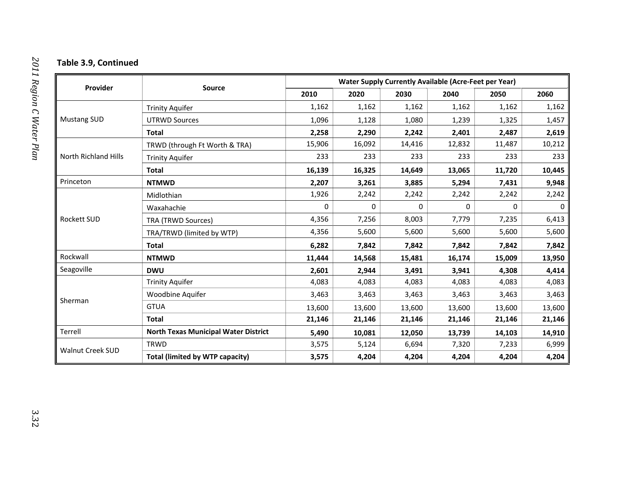#### **Table 3.9, Continued**

|                             |                                             | <b>Water Supply Currently Available (Acre-Feet per Year)</b> |        |        |        |                                                                                                                                                                                                                                                                                                    |        |  |
|-----------------------------|---------------------------------------------|--------------------------------------------------------------|--------|--------|--------|----------------------------------------------------------------------------------------------------------------------------------------------------------------------------------------------------------------------------------------------------------------------------------------------------|--------|--|
| Provider                    | <b>Source</b>                               | 2010                                                         | 2020   | 2030   | 2040   | 2050                                                                                                                                                                                                                                                                                               | 2060   |  |
|                             | <b>Trinity Aquifer</b>                      | 1,162                                                        | 1,162  | 1,162  | 1,162  | 1,162                                                                                                                                                                                                                                                                                              | 1,162  |  |
| <b>Mustang SUD</b>          | <b>UTRWD Sources</b>                        | 1,096                                                        | 1,128  | 1,080  | 1,239  | 1,325                                                                                                                                                                                                                                                                                              | 1,457  |  |
|                             | Total                                       | 2,258                                                        | 2,290  | 2,242  | 2,401  | 2,487                                                                                                                                                                                                                                                                                              | 2,619  |  |
|                             | TRWD (through Ft Worth & TRA)               | 15,906                                                       | 16,092 | 14,416 | 12,832 | 11,487                                                                                                                                                                                                                                                                                             | 10,212 |  |
| <b>North Richland Hills</b> | <b>Trinity Aquifer</b>                      | 233                                                          | 233    | 233    | 233    | 233                                                                                                                                                                                                                                                                                                | 233    |  |
|                             | <b>Total</b>                                | 16,139                                                       | 16,325 | 14,649 | 13,065 | 11,720<br>5,294<br>7,431<br>2,242<br>2,242<br>$\Omega$<br>$\Omega$<br>7,235<br>7,779<br>5,600<br>5,600<br>7,842<br>7,842<br>16,174<br>15,009<br>3,941<br>4,308<br>4,083<br>4,083<br>3,463<br>3,463<br>13,600<br>13,600<br>21,146<br>21,146<br>14,103<br>13,739<br>7,320<br>7,233<br>4,204<br>4,204 | 10,445 |  |
| Princeton                   | <b>NTMWD</b>                                | 2,207                                                        | 3,261  | 3,885  |        |                                                                                                                                                                                                                                                                                                    | 9,948  |  |
|                             | Midlothian                                  | 1,926                                                        | 2,242  | 2,242  |        |                                                                                                                                                                                                                                                                                                    | 2,242  |  |
|                             | Waxahachie                                  | 0                                                            | 0      | 0      |        |                                                                                                                                                                                                                                                                                                    | 0      |  |
| <b>Rockett SUD</b>          | TRA (TRWD Sources)                          | 4,356                                                        | 7,256  | 8,003  |        |                                                                                                                                                                                                                                                                                                    | 6,413  |  |
|                             | TRA/TRWD (limited by WTP)                   | 4,356                                                        | 5,600  | 5,600  |        |                                                                                                                                                                                                                                                                                                    | 5,600  |  |
|                             | <b>Total</b>                                | 6,282                                                        | 7,842  | 7,842  |        |                                                                                                                                                                                                                                                                                                    | 7,842  |  |
| Rockwall                    | <b>NTMWD</b>                                | 11,444                                                       | 14,568 | 15,481 |        |                                                                                                                                                                                                                                                                                                    | 13,950 |  |
| Seagoville                  | <b>DWU</b>                                  | 2,601                                                        | 2,944  | 3,491  |        |                                                                                                                                                                                                                                                                                                    | 4,414  |  |
|                             | <b>Trinity Aquifer</b>                      | 4,083                                                        | 4,083  | 4,083  |        |                                                                                                                                                                                                                                                                                                    | 4,083  |  |
| Sherman                     | Woodbine Aquifer                            | 3,463                                                        | 3,463  | 3,463  |        |                                                                                                                                                                                                                                                                                                    | 3,463  |  |
|                             | <b>GTUA</b>                                 | 13,600                                                       | 13,600 | 13,600 |        |                                                                                                                                                                                                                                                                                                    | 13,600 |  |
|                             | <b>Total</b>                                | 21,146                                                       | 21,146 | 21,146 |        |                                                                                                                                                                                                                                                                                                    | 21,146 |  |
| Terrell                     | <b>North Texas Municipal Water District</b> | 5,490                                                        | 10,081 | 12,050 |        |                                                                                                                                                                                                                                                                                                    | 14,910 |  |
| Walnut Creek SUD            | <b>TRWD</b>                                 | 3,575                                                        | 5,124  | 6,694  |        |                                                                                                                                                                                                                                                                                                    | 6,999  |  |
|                             | <b>Total (limited by WTP capacity)</b>      | 3,575                                                        | 4,204  | 4,204  |        |                                                                                                                                                                                                                                                                                                    | 4,204  |  |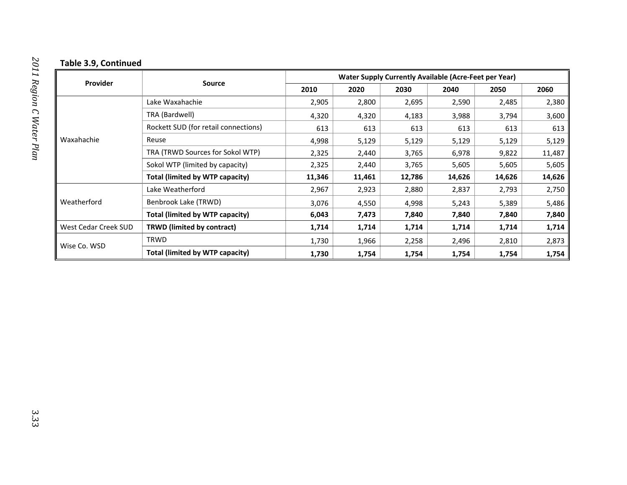#### **Table 3.9, Continued**

|                      |                                      | <b>Water Supply Currently Available (Acre-Feet per Year)</b> |        |        |       |                                                                                                                                                                                                                            |        |
|----------------------|--------------------------------------|--------------------------------------------------------------|--------|--------|-------|----------------------------------------------------------------------------------------------------------------------------------------------------------------------------------------------------------------------------|--------|
| Provider             | Source                               | 2010                                                         | 2020   | 2030   | 2040  | 2050<br>2,485<br>2,590<br>3,988<br>3,794<br>613<br>613<br>5,129<br>5,129<br>6,978<br>9,822<br>5,605<br>5,605<br>14,626<br>14,626<br>2,837<br>2,793<br>5,243<br>5,389<br>7,840<br>7,840<br>1,714<br>1,714<br>2,496<br>2,810 | 2060   |
|                      | Lake Waxahachie                      | 2,905                                                        | 2,800  | 2,695  |       |                                                                                                                                                                                                                            | 2,380  |
|                      | TRA (Bardwell)                       | 4,320                                                        | 4,320  | 4,183  |       |                                                                                                                                                                                                                            | 3,600  |
|                      | Rockett SUD (for retail connections) | 613                                                          | 613    | 613    |       |                                                                                                                                                                                                                            | 613    |
| Waxahachie           | Reuse                                | 4,998                                                        | 5,129  | 5,129  |       |                                                                                                                                                                                                                            | 5,129  |
|                      | TRA (TRWD Sources for Sokol WTP)     | 2,325                                                        | 2,440  | 3,765  |       |                                                                                                                                                                                                                            | 11,487 |
|                      | Sokol WTP (limited by capacity)      | 2,325                                                        | 2,440  | 3,765  |       |                                                                                                                                                                                                                            | 5,605  |
|                      | Total (limited by WTP capacity)      | 11,346                                                       | 11,461 | 12,786 |       |                                                                                                                                                                                                                            | 14,626 |
|                      | Lake Weatherford                     | 2,967                                                        | 2,923  | 2,880  |       |                                                                                                                                                                                                                            | 2,750  |
| Weatherford          | Benbrook Lake (TRWD)                 | 3,076                                                        | 4,550  | 4,998  |       |                                                                                                                                                                                                                            | 5,486  |
|                      | Total (limited by WTP capacity)      | 6,043                                                        | 7,473  | 7,840  |       |                                                                                                                                                                                                                            | 7,840  |
| West Cedar Creek SUD | <b>TRWD (limited by contract)</b>    | 1,714                                                        | 1,714  | 1,714  |       |                                                                                                                                                                                                                            | 1,714  |
|                      | <b>TRWD</b>                          | 1,730                                                        | 1,966  | 2,258  |       |                                                                                                                                                                                                                            | 2,873  |
| Wise Co. WSD         | Total (limited by WTP capacity)      | 1,730                                                        | 1,754  | 1,754  | 1,754 | 1,754                                                                                                                                                                                                                      | 1,754  |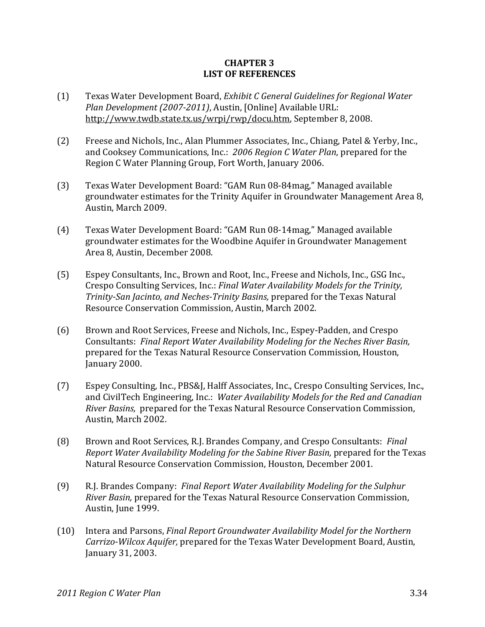### **CHAPTER 3 LIST OF REFERENCES**

- (1) Texas Water Development Board, *Exhibit C General Guidelines for Regional Water Plan Development (20072011)*, Austin, [Online] Available URL: http://www.twdb.state.tx.us/wrpi/rwp/docu.htm, September 8, 2008.
- (2) Freese and Nichols, Inc., Alan Plummer Associates, Inc., Chiang, Patel & Yerby, Inc., and Cooksey Communications, Inc.: *2006 Region C Water Plan*, prepared for the Region C Water Planning Group, Fort Worth, January 2006.
- (3) Texas Water Development Board: "GAM Run 08‐84mag," Managed available groundwater estimates for the Trinity Aquifer in Groundwater Management Area 8, Austin, March 2009.
- (4) Texas Water Development Board: "GAM Run 08‐14mag," Managed available groundwater estimates for the Woodbine Aquifer in Groundwater Management Area 8, Austin, December 2008.
- (5) Espey Consultants, Inc., Brown and Root, Inc., Freese and Nichols, Inc., GSG Inc., Crespo Consulting Services, Inc.: *Final Water Availability Models for the Trinity, TrinitySan Jacinto, and NechesTrinity Basins,* prepared for the Texas Natural Resource Conservation Commission, Austin, March 2002.
- (6) Brown and Root Services, Freese and Nichols, Inc., Espey‐Padden, and Crespo Consultants: *Final Report Water Availability Modeling for the Neches River Basin,* prepared for the Texas Natural Resource Conservation Commission, Houston, January 2000.
- (7) Espey Consulting, Inc., PBS&J, Halff Associates, Inc., Crespo Consulting Services, Inc., and CivilTech Engineering, Inc.: *Water Availability Models for the Red and Canadian River Basins,* prepared for the Texas Natural Resource Conservation Commission, Austin, March 2002.
- (8) Brown and Root Services, R.J. Brandes Company, and Crespo Consultants: *Final Report Water Availability Modeling for the Sabine River Basin,* prepared for the Texas Natural Resource Conservation Commission, Houston, December 2001.
- (9) R.J. Brandes Company: *Final Report Water Availability Modeling for the Sulphur River Basin,* prepared for the Texas Natural Resource Conservation Commission, Austin, June 1999.
- (10) Intera and Parsons, *Final Report Groundwater Availability Model for the Northern CarrizoWilcox Aquifer,* prepared for the Texas Water Development Board, Austin, January 31, 2003.